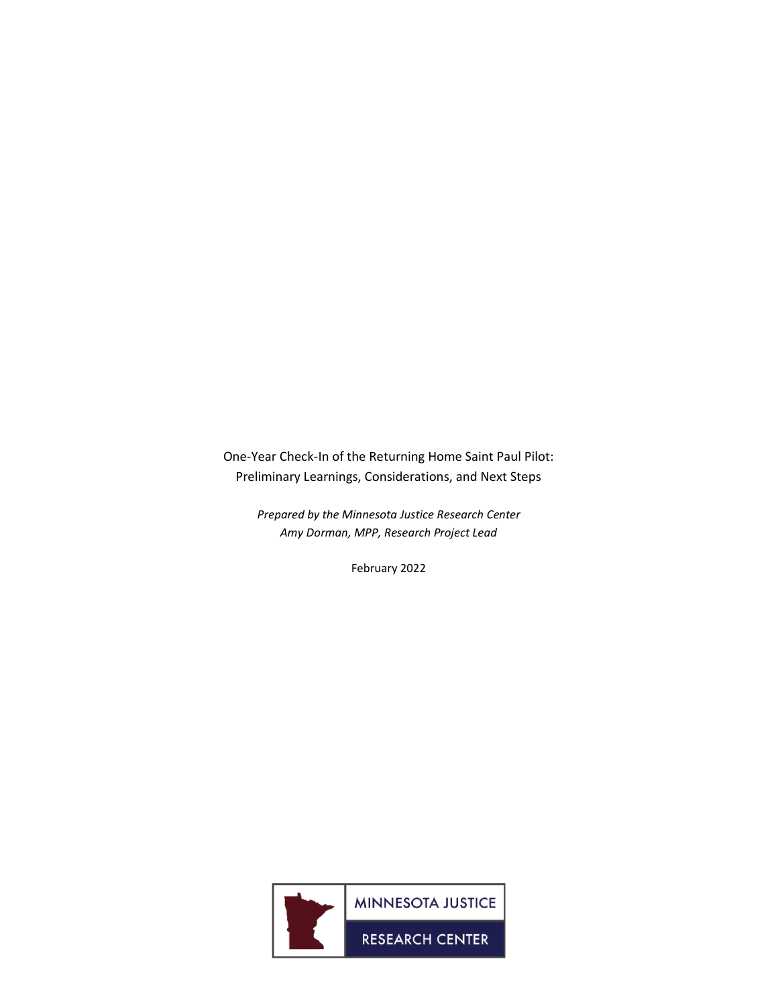One-Year Check-In of the Returning Home Saint Paul Pilot: Preliminary Learnings, Considerations, and Next Steps

*Prepared by the Minnesota Justice Research Center Amy Dorman, MPP, Research Project Lead*

February 2022

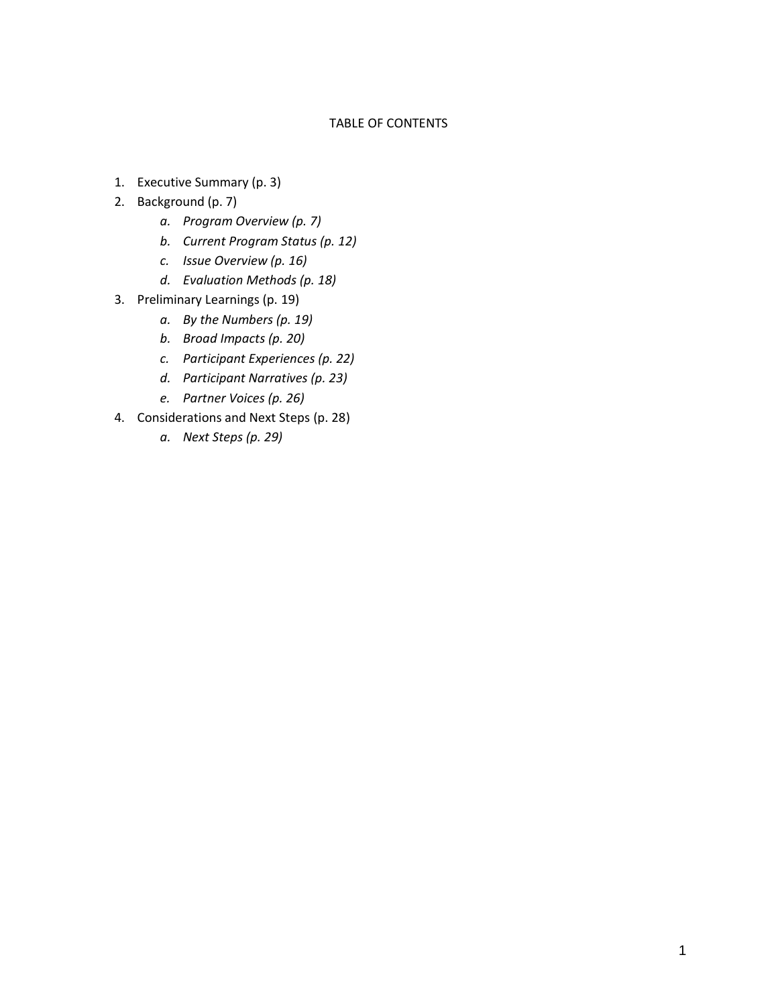## TABLE OF CONTENTS

- 1. Executive Summary (p. 3)
- 2. Background (p. 7)
	- *a. Program Overview (p. 7)*
	- *b. Current Program Status (p. 12)*
	- *c. Issue Overview (p. 16)*
	- *d. Evaluation Methods (p. 18)*
- 3. Preliminary Learnings (p. 19)
	- *a. By the Numbers (p. 19)*
	- *b. Broad Impacts (p. 20)*
	- *c. Participant Experiences (p. 22)*
	- *d. Participant Narratives (p. 23)*
	- *e. Partner Voices (p. 26)*
- 4. Considerations and Next Steps (p. 28)
	- *a. Next Steps (p. 29)*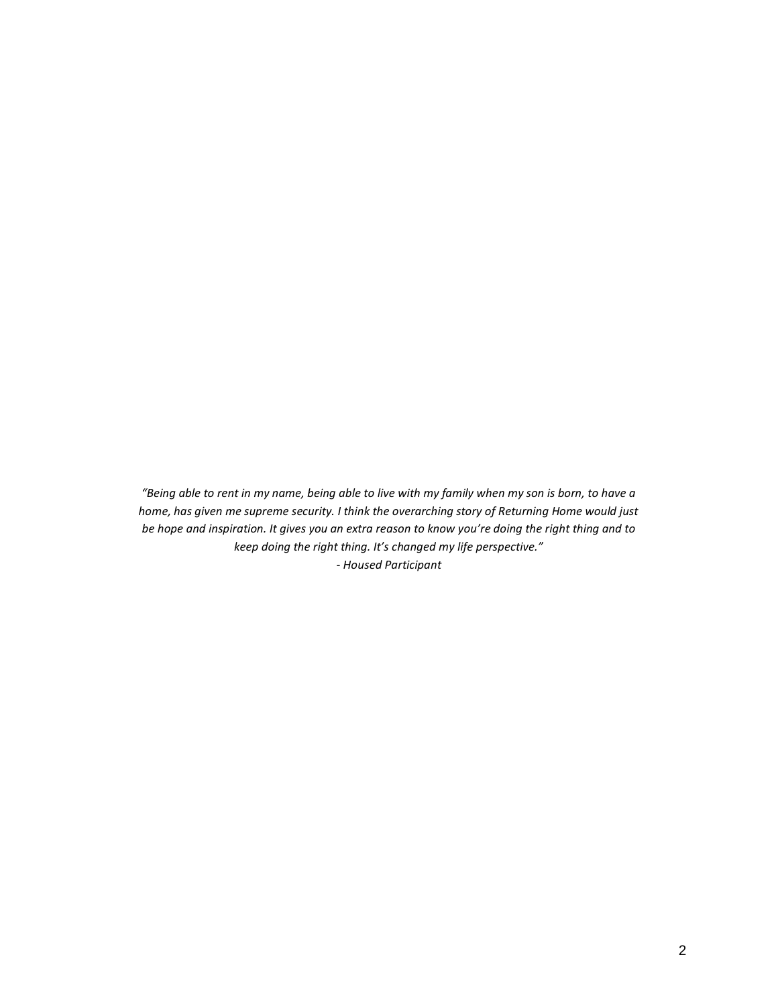*"Being able to rent in my name, being able to live with my family when my son is born, to have a home, has given me supreme security. I think the overarching story of Returning Home would just be hope and inspiration. It gives you an extra reason to know you're doing the right thing and to keep doing the right thing. It's changed my life perspective." - Housed Participant*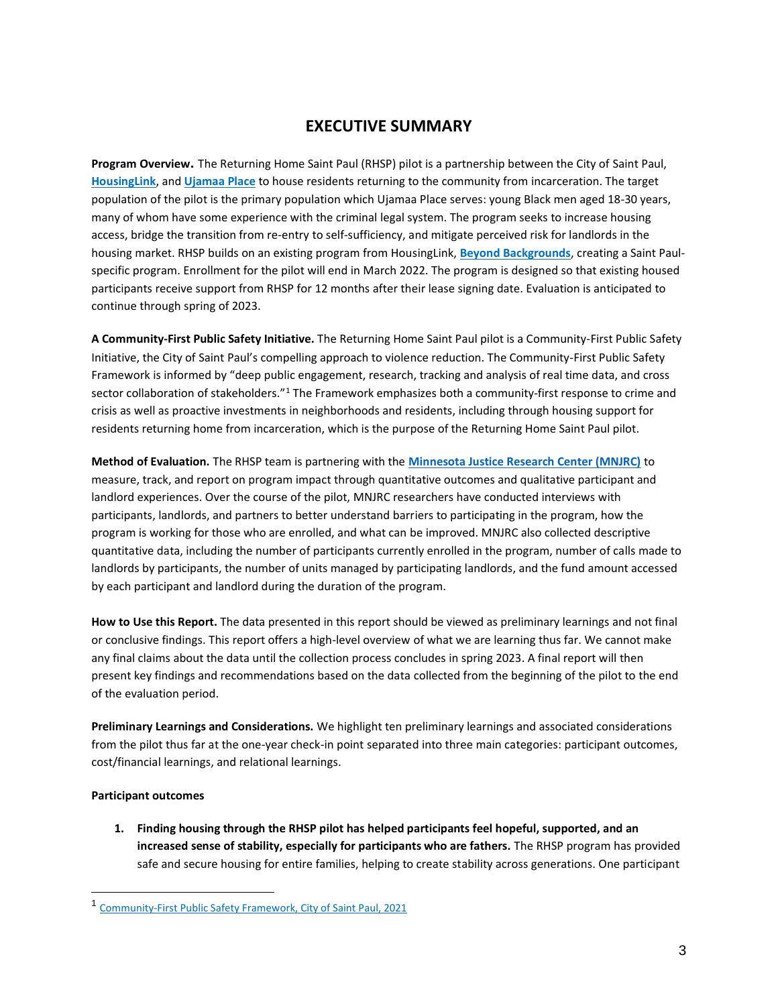# **EXECUTIVE SUMMARY**

**Program Overview.** The Returning Home Saint Paul (RHSP) pilot is a partnership between the City of Saint Paul[,](https://housinglink.org/) **[HousingLink](https://housinglink.org/)**, and **[Ujamaa Place](https://ujamaaplace.org/)** to house residents returning to the community from incarceration. The target population of the pilot is the primary population which Ujamaa Place serves: young Black men aged 18-30 years, many of whom have some experience with the criminal legal system. The program seeks to increase housing access, bridge the transition from re-entry to self-sufficiency, and mitigate perceived risk for landlords in the housing market. RHSP builds on an existing program from HousingLink, **[Beyond Backgrounds](https://housinglink.org/beyond-backgrounds)**, creating a Saint Paulspecific program. Enrollment for the pilot will end in March 2022. The program is designed so that existing housed participants receive support from RHSP for 12 months after their lease signing date. Evaluation is anticipated to continue through spring of 2023.

**A Community-First Public Safety Initiative.** The Returning Home Saint Paul pilot is a Community-First Public Safety Initiative, the City of Saint Paul's compelling approach to violence reduction. The Community-First Public Safety Framework is informed by "deep public engagement, research, tracking and analysis of real time data, and cross sector collaboration of stakeholders."<sup>1</sup> The Framework emphasizes both a community-first response to crime and crisis as well as proactive investments in neighborhoods and residents, including through housing support for residents returning home from incarceration, which is the purpose of the Returning Home Saint Paul pilot.

**Method of Evaluation.** The RHSP team is partnering with the **[Minnesota Justice Research Center \(MNJRC\)](https://www.mnjrc.org/what-do-we-do)** to measure, track, and report on program impact through quantitative outcomes and qualitative participant and landlord experiences. Over the course of the pilot, MNJRC researchers have conducted interviews with participants, landlords, and partners to better understand barriers to participating in the program, how the program is working for those who are enrolled, and what can be improved. MNJRC also collected descriptive quantitative data, including the number of participants currently enrolled in the program, number of calls made to landlords by participants, the number of units managed by participating landlords, and the fund amount accessed by each participant and landlord during the duration of the program.

**How to Use this Report.** The data presented in this report should be viewed as preliminary learnings and not final or conclusive findings. This report offers a high-level overview of what we are learning thus far. We cannot make any final claims about the data until the collection process concludes in spring 2023. A final report will then present key findings and recommendations based on the data collected from the beginning of the pilot to the end of the evaluation period.

**Preliminary Learnings and Considerations.** We highlight ten preliminary learnings and associated considerations from the pilot thus far at the one-year check-in point separated into three main categories: participant outcomes, cost/financial learnings, and relational learnings.

## **Participant outcomes**

**1. Finding housing through the RHSP pilot has helped participants feel hopeful, supported, and an increased sense of stability, especially for participants who are fathers.** The RHSP program has provided safe and secure housing for entire families, helping to create stability across generations. One participant

<sup>&</sup>lt;sup>1</sup> [Community-First Public Safety Framework, City of Saint Paul, 2021](https://information.stpaul.gov/pages/publicsafety)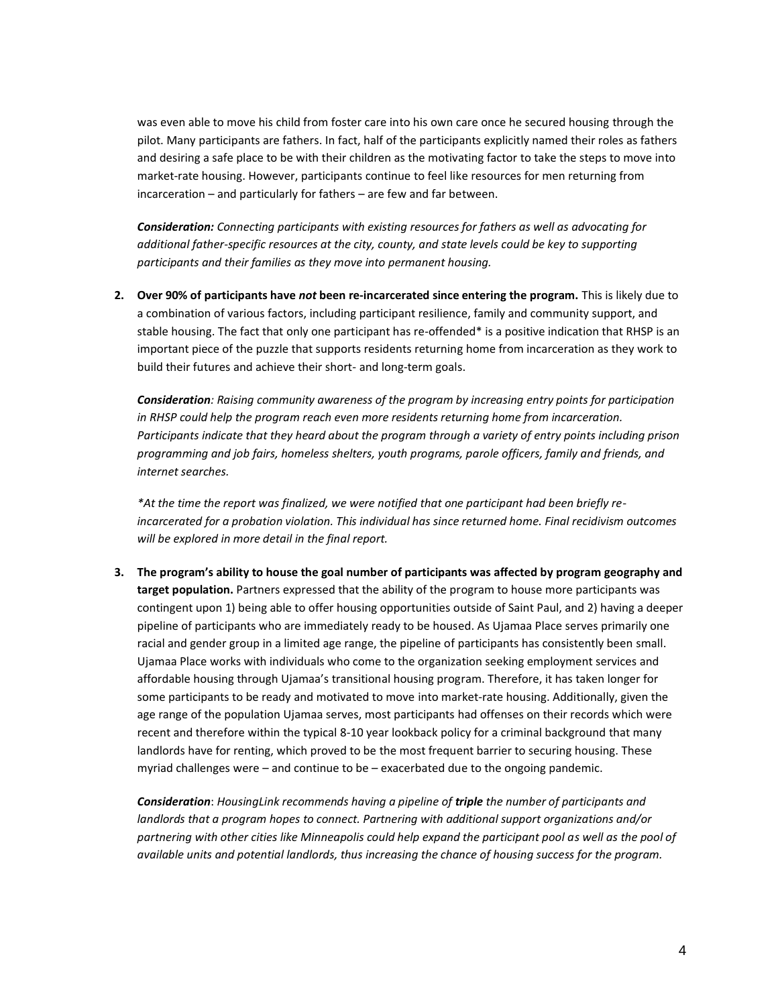was even able to move his child from foster care into his own care once he secured housing through the pilot. Many participants are fathers. In fact, half of the participants explicitly named their roles as fathers and desiring a safe place to be with their children as the motivating factor to take the steps to move into market-rate housing. However, participants continue to feel like resources for men returning from incarceration – and particularly for fathers – are few and far between.

*Consideration: Connecting participants with existing resources for fathers as well as advocating for additional father-specific resources at the city, county, and state levels could be key to supporting participants and their families as they move into permanent housing.* 

**2. Over 90% of participants have** *not* **been re-incarcerated since entering the program.** This is likely due to a combination of various factors, including participant resilience, family and community support, and stable housing. The fact that only one participant has re-offended\* is a positive indication that RHSP is an important piece of the puzzle that supports residents returning home from incarceration as they work to build their futures and achieve their short- and long-term goals.

*Consideration: Raising community awareness of the program by increasing entry points for participation in RHSP could help the program reach even more residents returning home from incarceration. Participants indicate that they heard about the program through a variety of entry points including prison programming and job fairs, homeless shelters, youth programs, parole officers, family and friends, and internet searches.*

*\*At the time the report was finalized, we were notified that one participant had been briefly reincarcerated for a probation violation. This individual has since returned home. Final recidivism outcomes will be explored in more detail in the final report.*

**3. The program's ability to house the goal number of participants was affected by program geography and target population.** Partners expressed that the ability of the program to house more participants was contingent upon 1) being able to offer housing opportunities outside of Saint Paul, and 2) having a deeper pipeline of participants who are immediately ready to be housed. As Ujamaa Place serves primarily one racial and gender group in a limited age range, the pipeline of participants has consistently been small. Ujamaa Place works with individuals who come to the organization seeking employment services and affordable housing through Ujamaa's transitional housing program. Therefore, it has taken longer for some participants to be ready and motivated to move into market-rate housing. Additionally, given the age range of the population Ujamaa serves, most participants had offenses on their records which were recent and therefore within the typical 8-10 year lookback policy for a criminal background that many landlords have for renting, which proved to be the most frequent barrier to securing housing. These myriad challenges were – and continue to be – exacerbated due to the ongoing pandemic.

*Consideration*: *HousingLink recommends having a pipeline of triple the number of participants and landlords that a program hopes to connect. Partnering with additional support organizations and/or partnering with other cities like Minneapolis could help expand the participant pool as well as the pool of available units and potential landlords, thus increasing the chance of housing success for the program.*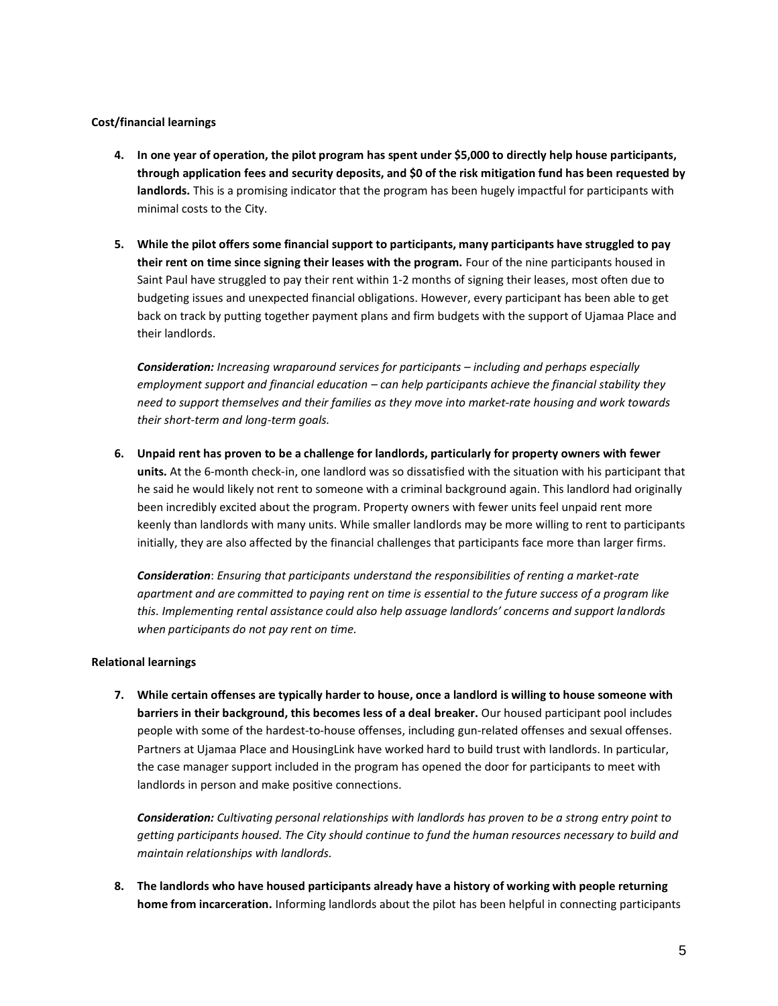## **Cost/financial learnings**

- **4. In one year of operation, the pilot program has spent under \$5,000 to directly help house participants, through application fees and security deposits, and \$0 of the risk mitigation fund has been requested by landlords.** This is a promising indicator that the program has been hugely impactful for participants with minimal costs to the City.
- **5. While the pilot offers some financial support to participants, many participants have struggled to pay their rent on time since signing their leases with the program.** Four of the nine participants housed in Saint Paul have struggled to pay their rent within 1-2 months of signing their leases, most often due to budgeting issues and unexpected financial obligations. However, every participant has been able to get back on track by putting together payment plans and firm budgets with the support of Ujamaa Place and their landlords.

*Consideration: Increasing wraparound services for participants – including and perhaps especially employment support and financial education – can help participants achieve the financial stability they need to support themselves and their families as they move into market-rate housing and work towards their short-term and long-term goals.* 

**6. Unpaid rent has proven to be a challenge for landlords, particularly for property owners with fewer units.** At the 6-month check-in, one landlord was so dissatisfied with the situation with his participant that he said he would likely not rent to someone with a criminal background again. This landlord had originally been incredibly excited about the program. Property owners with fewer units feel unpaid rent more keenly than landlords with many units. While smaller landlords may be more willing to rent to participants initially, they are also affected by the financial challenges that participants face more than larger firms.

*Consideration*: *Ensuring that participants understand the responsibilities of renting a market-rate apartment and are committed to paying rent on time is essential to the future success of a program like this. Implementing rental assistance could also help assuage landlords' concerns and support landlords when participants do not pay rent on time.* 

## **Relational learnings**

**7. While certain offenses are typically harder to house, once a landlord is willing to house someone with barriers in their background, this becomes less of a deal breaker.** Our housed participant pool includes people with some of the hardest-to-house offenses, including gun-related offenses and sexual offenses. Partners at Ujamaa Place and HousingLink have worked hard to build trust with landlords. In particular, the case manager support included in the program has opened the door for participants to meet with landlords in person and make positive connections.

*Consideration: Cultivating personal relationships with landlords has proven to be a strong entry point to getting participants housed. The City should continue to fund the human resources necessary to build and maintain relationships with landlords.* 

**8. The landlords who have housed participants already have a history of working with people returning home from incarceration.** Informing landlords about the pilot has been helpful in connecting participants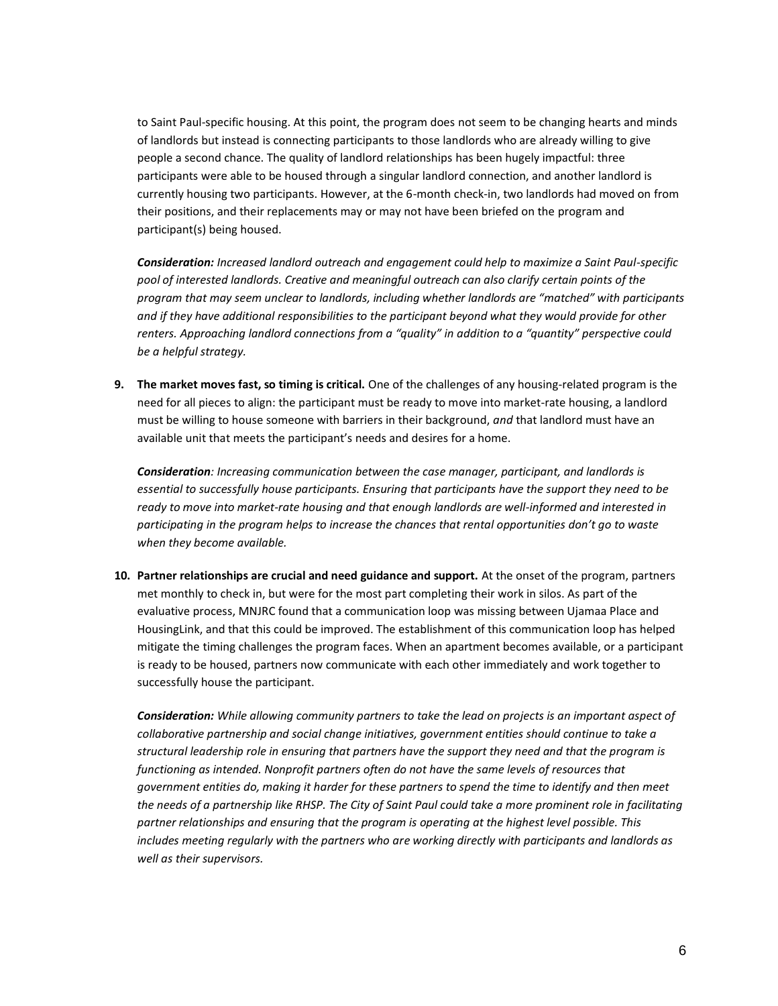to Saint Paul-specific housing. At this point, the program does not seem to be changing hearts and minds of landlords but instead is connecting participants to those landlords who are already willing to give people a second chance. The quality of landlord relationships has been hugely impactful: three participants were able to be housed through a singular landlord connection, and another landlord is currently housing two participants. However, at the 6-month check-in, two landlords had moved on from their positions, and their replacements may or may not have been briefed on the program and participant(s) being housed.

*Consideration: Increased landlord outreach and engagement could help to maximize a Saint Paul-specific pool of interested landlords. Creative and meaningful outreach can also clarify certain points of the program that may seem unclear to landlords, including whether landlords are "matched" with participants and if they have additional responsibilities to the participant beyond what they would provide for other renters. Approaching landlord connections from a "quality" in addition to a "quantity" perspective could be a helpful strategy.* 

**9. The market moves fast, so timing is critical.** One of the challenges of any housing-related program is the need for all pieces to align: the participant must be ready to move into market-rate housing, a landlord must be willing to house someone with barriers in their background, *and* that landlord must have an available unit that meets the participant's needs and desires for a home.

*Consideration: Increasing communication between the case manager, participant, and landlords is essential to successfully house participants. Ensuring that participants have the support they need to be ready to move into market-rate housing and that enough landlords are well-informed and interested in participating in the program helps to increase the chances that rental opportunities don't go to waste when they become available.* 

**10. Partner relationships are crucial and need guidance and support.** At the onset of the program, partners met monthly to check in, but were for the most part completing their work in silos. As part of the evaluative process, MNJRC found that a communication loop was missing between Ujamaa Place and HousingLink, and that this could be improved. The establishment of this communication loop has helped mitigate the timing challenges the program faces. When an apartment becomes available, or a participant is ready to be housed, partners now communicate with each other immediately and work together to successfully house the participant.

*Consideration: While allowing community partners to take the lead on projects is an important aspect of collaborative partnership and social change initiatives, government entities should continue to take a structural leadership role in ensuring that partners have the support they need and that the program is functioning as intended. Nonprofit partners often do not have the same levels of resources that government entities do, making it harder for these partners to spend the time to identify and then meet the needs of a partnership like RHSP. The City of Saint Paul could take a more prominent role in facilitating partner relationships and ensuring that the program is operating at the highest level possible. This includes meeting regularly with the partners who are working directly with participants and landlords as well as their supervisors.*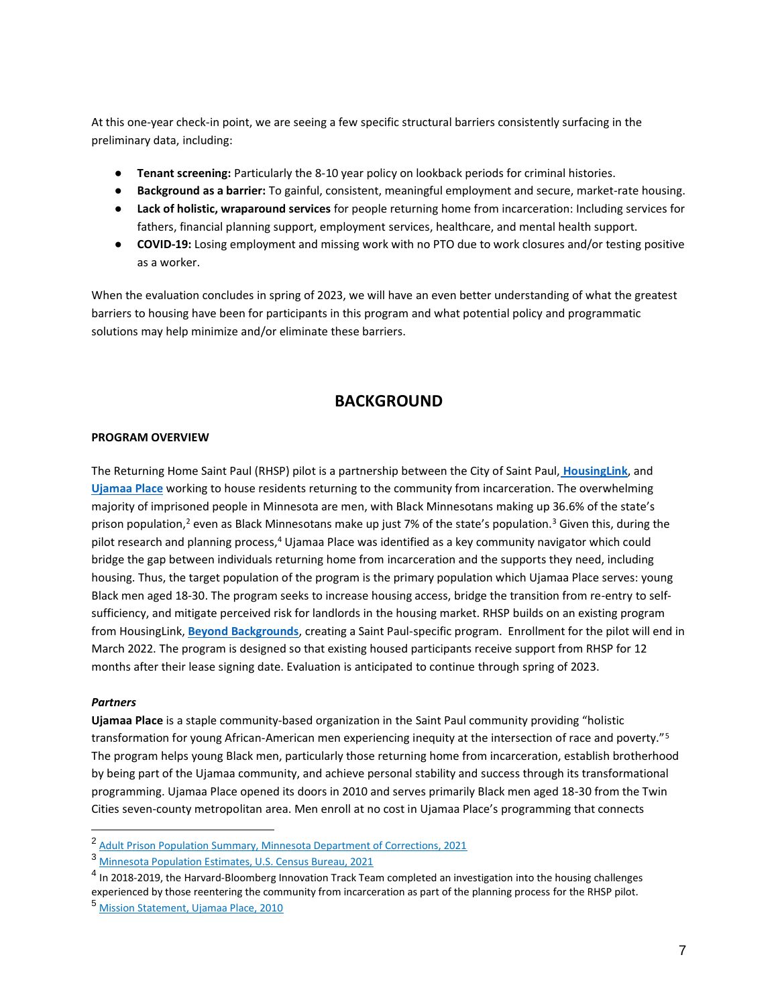At this one-year check-in point, we are seeing a few specific structural barriers consistently surfacing in the preliminary data, including:

- **Tenant screening:** Particularly the 8-10 year policy on lookback periods for criminal histories.
- **Background as a barrier:** To gainful, consistent, meaningful employment and secure, market-rate housing.
- **Lack of holistic, wraparound services** for people returning home from incarceration: Including services for fathers, financial planning support, employment services, healthcare, and mental health support.
- **COVID-19:** Losing employment and missing work with no PTO due to work closures and/or testing positive as a worker.

When the evaluation concludes in spring of 2023, we will have an even better understanding of what the greatest barriers to housing have been for participants in this program and what potential policy and programmatic solutions may help minimize and/or eliminate these barriers.

# **BACKGROUND**

#### **PROGRAM OVERVIEW**

The Returning Home Saint Paul (RHSP) pilot is a partnership between the City of Saint Paul, **[HousingLink](https://housinglink.org/)**, and **[Ujamaa Place](https://ujamaaplace.org/)** working to house residents returning to the community from incarceration. The overwhelming majority of imprisoned people in Minnesota are men, with Black Minnesotans making up 36.6% of the state's prison population,<sup>2</sup> even as Black Minnesotans make up just 7% of the state's population.<sup>3</sup> Given this, during the pilot research and planning process,<sup>4</sup> Ujamaa Place was identified as a key community navigator which could bridge the gap between individuals returning home from incarceration and the supports they need, including housing. Thus, the target population of the program is the primary population which Ujamaa Place serves: young Black men aged 18-30. The program seeks to increase housing access, bridge the transition from re-entry to selfsufficiency, and mitigate perceived risk for landlords in the housing market. RHSP builds on an existing program from HousingLink, **[Beyond Backgrounds](https://housinglink.org/beyond-backgrounds)**, creating a Saint Paul-specific program. Enrollment for the pilot will end in March 2022. The program is designed so that existing housed participants receive support from RHSP for 12 months after their lease signing date. Evaluation is anticipated to continue through spring of 2023.

#### *Partners*

**Ujamaa Place** is a staple community-based organization in the Saint Paul community providing "holistic transformation for young African-American men experiencing inequity at the intersection of race and poverty."<sup>5</sup> The program helps young Black men, particularly those returning home from incarceration, establish brotherhood by being part of the Ujamaa community, and achieve personal stability and success through its transformational programming. Ujamaa Place opened its doors in 2010 and serves primarily Black men aged 18-30 from the Twin Cities seven-county metropolitan area. Men enroll at no cost in Ujamaa Place's programming that connects

<sup>&</sup>lt;sup>2</sup> [Adult Prison Population Summary, Minnesota Department of Corrections, 2021](https://mn.gov/doc/assets/Adult%20Prison%20Population%20Summary%207-1-2021_tcm1089-493212.pdf)

<sup>3</sup> [Minnesota Population Estimates, U.S. Census Bureau, 2021](https://www.census.gov/quickfacts/MN)

<sup>&</sup>lt;sup>4</sup> In 2018-2019, the Harvard-Bloomberg Innovation Track Team completed an investigation into the housing challenges experienced by those reentering the community from incarceration as part of the planning process for the RHSP pilot.

<sup>5</sup> [Mission Statement, Ujamaa Place, 2010](https://ujamaaplace.org/mission/)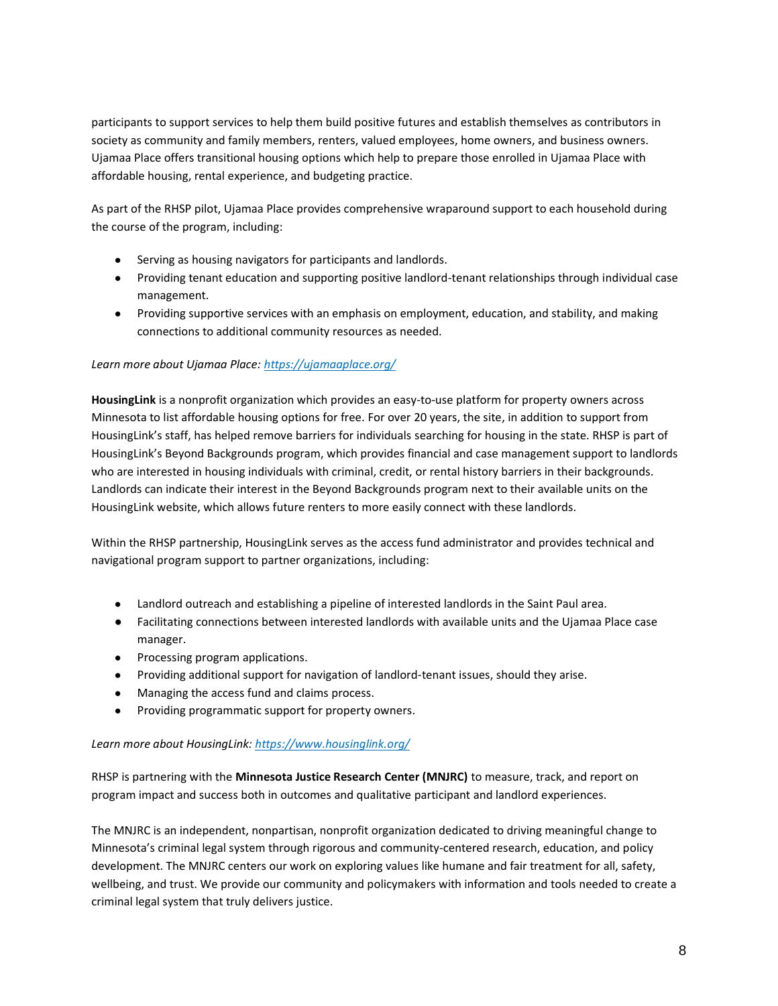participants to support services to help them build positive futures and establish themselves as contributors in society as community and family members, renters, valued employees, home owners, and business owners. Ujamaa Place offers transitional housing options which help to prepare those enrolled in Ujamaa Place with affordable housing, rental experience, and budgeting practice.

As part of the RHSP pilot, Ujamaa Place provides comprehensive wraparound support to each household during the course of the program, including:

- Serving as housing navigators for participants and landlords.
- Providing tenant education and supporting positive landlord-tenant relationships through individual case management.
- Providing supportive services with an emphasis on employment, education, and stability, and making connections to additional community resources as needed.

## *Learn more about Ujamaa Place[: https://ujamaaplace.org/](https://ujamaaplace.org/)*

**HousingLink** is a nonprofit organization which provides an easy-to-use platform for property owners across Minnesota to list affordable housing options for free. For over 20 years, the site, in addition to support from HousingLink's staff, has helped remove barriers for individuals searching for housing in the state. RHSP is part of HousingLink's Beyond Backgrounds program, which provides financial and case management support to landlords who are interested in housing individuals with criminal, credit, or rental history barriers in their backgrounds. Landlords can indicate their interest in the Beyond Backgrounds program next to their available units on the HousingLink website, which allows future renters to more easily connect with these landlords.

Within the RHSP partnership, HousingLink serves as the access fund administrator and provides technical and navigational program support to partner organizations, including:

- Landlord outreach and establishing a pipeline of interested landlords in the Saint Paul area.
- Facilitating connections between interested landlords with available units and the Ujamaa Place case manager.
- Processing program applications.
- Providing additional support for navigation of landlord-tenant issues, should they arise.
- Managing the access fund and claims process.
- Providing programmatic support for property owners.

## *Learn more about HousingLink[: https://www.housinglink.org/](https://www.housinglink.org/)*

RHSP is partnering with the **[M](https://www.mnjrc.org/what-do-we-do)innesota Justice Research Center (MNJRC)** to measure, track, and report on program impact and success both in outcomes and qualitative participant and landlord experiences.

The MNJRC is an independent, nonpartisan, nonprofit organization dedicated to driving meaningful change to Minnesota's criminal legal system through rigorous and community-centered research, education, and policy development. The MNJRC centers our work on exploring values like humane and fair treatment for all, safety, wellbeing, and trust. We provide our community and policymakers with information and tools needed to create a criminal legal system that truly delivers justice.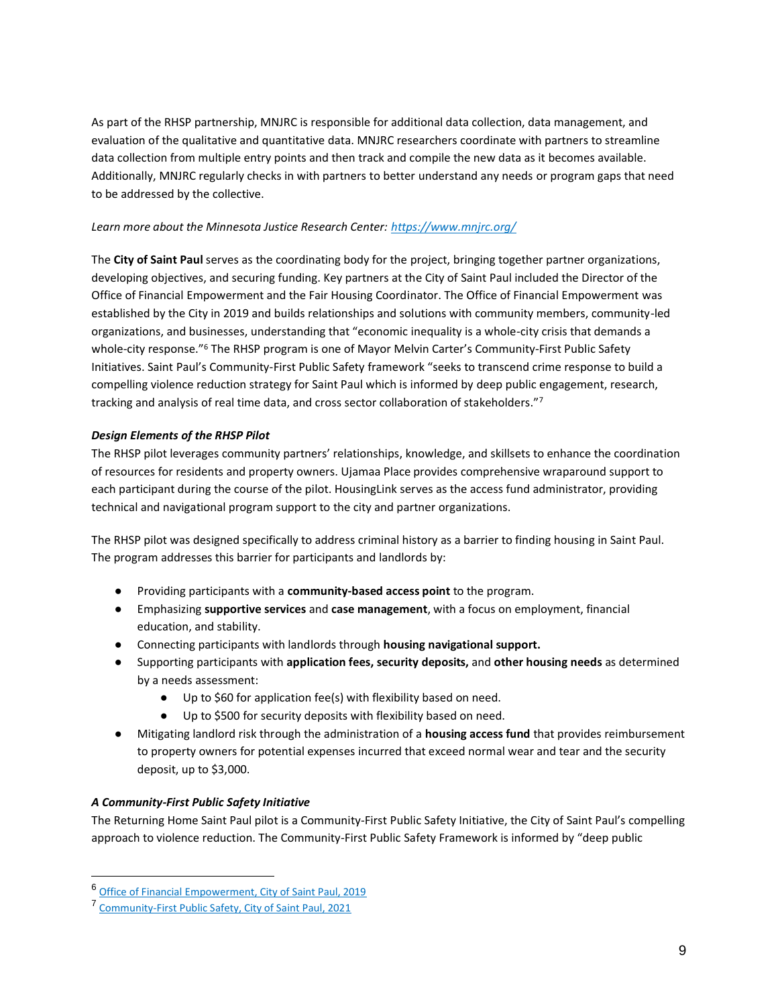As part of the RHSP partnership, MNJRC is responsible for additional data collection, data management, and evaluation of the qualitative and quantitative data. MNJRC researchers coordinate with partners to streamline data collection from multiple entry points and then track and compile the new data as it becomes available. Additionally, MNJRC regularly checks in with partners to better understand any needs or program gaps that need to be addressed by the collective.

## *Learn more about the Minnesota Justice Research Center[: https://www.mnjrc.org/](https://www.mnjrc.org/)*

The **City of Saint Paul** serves as the coordinating body for the project, bringing together partner organizations, developing objectives, and securing funding. Key partners at the City of Saint Paul included the Director of the Office of Financial Empowerment and the Fair Housing Coordinator. The Office of Financial Empowerment was established by the City in 2019 and builds relationships and solutions with community members, community-led organizations, and businesses, understanding that "economic inequality is a whole-city crisis that demands a whole-city response."<sup>6</sup> The RHSP program is one of Mayor Melvin Carter's Community-First Public Safety Initiatives. Saint Paul's Community-First Public Safety framework "seeks to transcend crime response to build a compelling violence reduction strategy for Saint Paul which is informed by deep public engagement, research, tracking and analysis of real time data, and cross sector collaboration of stakeholders."<sup>7</sup>

## *Design Elements of the RHSP Pilot*

The RHSP pilot leverages community partners' relationships, knowledge, and skillsets to enhance the coordination of resources for residents and property owners. Ujamaa Place provides comprehensive wraparound support to each participant during the course of the pilot. HousingLink serves as the access fund administrator, providing technical and navigational program support to the city and partner organizations.

The RHSP pilot was designed specifically to address criminal history as a barrier to finding housing in Saint Paul. The program addresses this barrier for participants and landlords by:

- Providing participants with a **community-based access point** to the program.
- Emphasizing **supportive services** and **case management**, with a focus on employment, financial education, and stability.
- Connecting participants with landlords through **housing navigational support.**
- Supporting participants with **application fees, security deposits,** and **other housing needs** as determined by a needs assessment:
	- Up to \$60 for application fee(s) with flexibility based on need.
	- Up to \$500 for security deposits with flexibility based on need.
- Mitigating landlord risk through the administration of a **housing access fund** that provides reimbursement to property owners for potential expenses incurred that exceed normal wear and tear and the security deposit, up to \$3,000.

## *A Community-First Public Safety Initiative*

The Returning Home Saint Paul pilot is a Community-First Public Safety Initiative, the City of Saint Paul's compelling approach to violence reduction. The Community-First Public Safety Framework is informed by "deep public

<sup>6</sup> [Office of Financial Empowerment, City of Saint Paul, 2019](https://www.stpaul.gov/departments/financial-empowerment)

<sup>&</sup>lt;sup>7</sup> [Community-First Public Safety, City of Saint Paul, 2021](https://information.stpaul.gov/pages/publicsafety)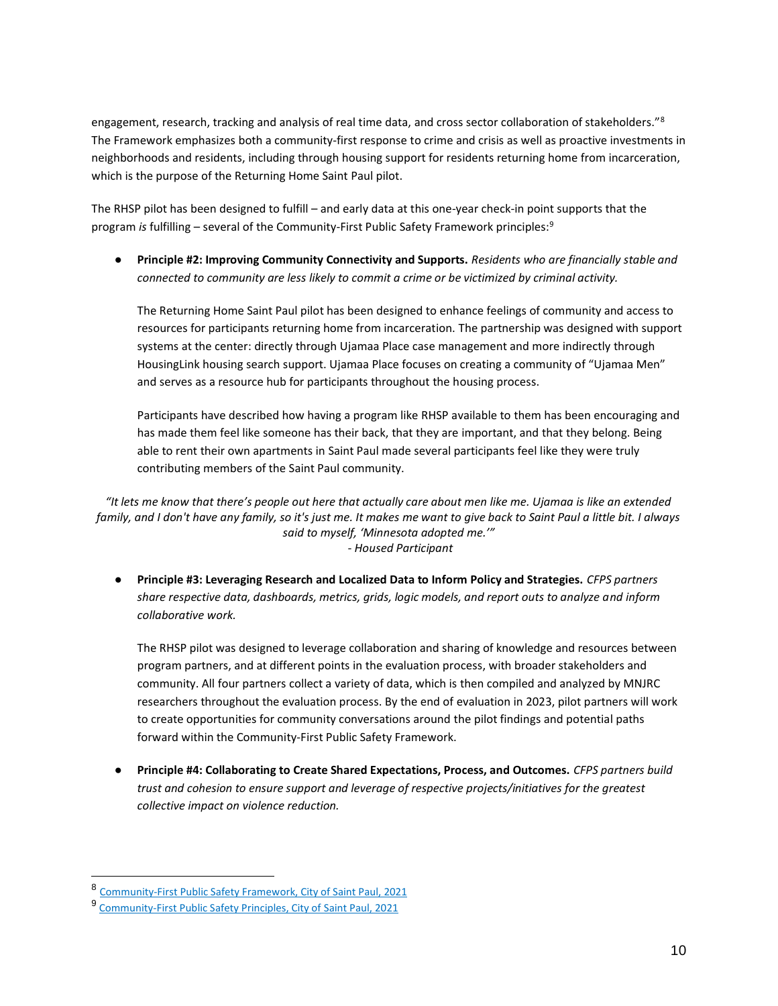engagement, research, tracking and analysis of real time data, and cross sector collaboration of stakeholders."<sup>8</sup> The Framework emphasizes both a community-first response to crime and crisis as well as proactive investments in neighborhoods and residents, including through housing support for residents returning home from incarceration, which is the purpose of the Returning Home Saint Paul pilot.

The RHSP pilot has been designed to fulfill – and early data at this one-year check-in point supports that the program *is* fulfilling – several of the Community-First Public Safety Framework principles:<sup>9</sup>

● **Principle #2: Improving Community Connectivity and Supports.** *Residents who are financially stable and connected to community are less likely to commit a crime or be victimized by criminal activity.* 

The Returning Home Saint Paul pilot has been designed to enhance feelings of community and access to resources for participants returning home from incarceration. The partnership was designed with support systems at the center: directly through Ujamaa Place case management and more indirectly through HousingLink housing search support. Ujamaa Place focuses on creating a community of "Ujamaa Men" and serves as a resource hub for participants throughout the housing process.

Participants have described how having a program like RHSP available to them has been encouraging and has made them feel like someone has their back, that they are important, and that they belong. Being able to rent their own apartments in Saint Paul made several participants feel like they were truly contributing members of the Saint Paul community.

*"It lets me know that there's people out here that actually care about men like me. Ujamaa is like an extended family, and I don't have any family, so it's just me. It makes me want to give back to Saint Paul a little bit. I always said to myself, 'Minnesota adopted me.'" - Housed Participant*

● **Principle #3: Leveraging Research and Localized Data to Inform Policy and Strategies.** *CFPS partners share respective data, dashboards, metrics, grids, logic models, and report outs to analyze and inform collaborative work.*

The RHSP pilot was designed to leverage collaboration and sharing of knowledge and resources between program partners, and at different points in the evaluation process, with broader stakeholders and community. All four partners collect a variety of data, which is then compiled and analyzed by MNJRC researchers throughout the evaluation process. By the end of evaluation in 2023, pilot partners will work to create opportunities for community conversations around the pilot findings and potential paths forward within the Community-First Public Safety Framework.

● **Principle #4: Collaborating to Create Shared Expectations, Process, and Outcomes.** *CFPS partners build trust and cohesion to ensure support and leverage of respective projects/initiatives for the greatest collective impact on violence reduction.* 

<sup>8</sup> [Community-First Public Safety Framework, City of Saint Paul, 2021](https://information.stpaul.gov/pages/publicsafety)

<sup>9</sup> [Community-First Public Safety Principles, City of Saint Paul, 2021](https://information.stpaul.gov/pages/publicsafety)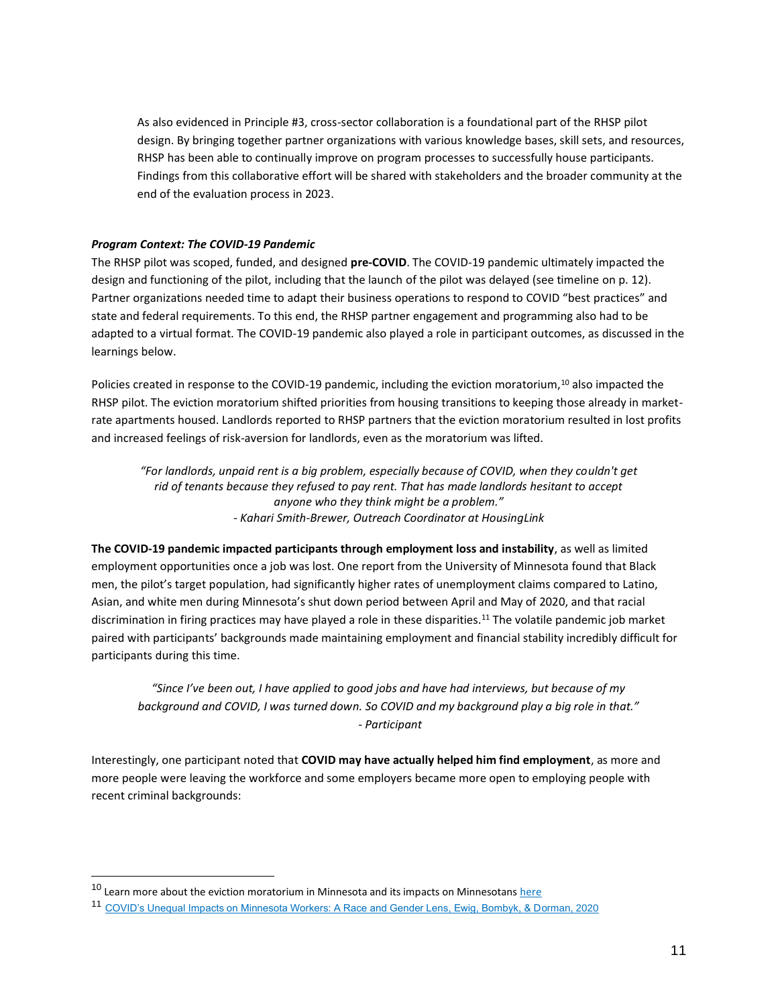As also evidenced in Principle #3, cross-sector collaboration is a foundational part of the RHSP pilot design. By bringing together partner organizations with various knowledge bases, skill sets, and resources, RHSP has been able to continually improve on program processes to successfully house participants. Findings from this collaborative effort will be shared with stakeholders and the broader community at the end of the evaluation process in 2023.

## *Program Context: The COVID-19 Pandemic*

The RHSP pilot was scoped, funded, and designed **pre-COVID**. The COVID-19 pandemic ultimately impacted the design and functioning of the pilot, including that the launch of the pilot was delayed (see timeline on p. 12). Partner organizations needed time to adapt their business operations to respond to COVID "best practices" and state and federal requirements. To this end, the RHSP partner engagement and programming also had to be adapted to a virtual format. The COVID-19 pandemic also played a role in participant outcomes, as discussed in the learnings below.

Policies created in response to the COVID-19 pandemic, including the eviction moratorium,<sup>10</sup> also impacted the RHSP pilot. The eviction moratorium shifted priorities from housing transitions to keeping those already in marketrate apartments housed. Landlords reported to RHSP partners that the eviction moratorium resulted in lost profits and increased feelings of risk-aversion for landlords, even as the moratorium was lifted.

*"For landlords, unpaid rent is a big problem, especially because of COVID, when they couldn't get rid of tenants because they refused to pay rent. That has made landlords hesitant to accept anyone who they think might be a problem." - Kahari Smith-Brewer, Outreach Coordinator at HousingLink*

**The COVID-19 pandemic impacted participants through employment loss and instability**, as well as limited employment opportunities once a job was lost. One report from the University of Minnesota found that Black men, the pilot's target population, had significantly higher rates of unemployment claims compared to Latino, Asian, and white men during Minnesota's shut down period between April and May of 2020, and that racial discrimination in firing practices may have played a role in these disparities.<sup>11</sup> The volatile pandemic job market paired with participants' backgrounds made maintaining employment and financial stability incredibly difficult for participants during this time.

*"Since I've been out, I have applied to good jobs and have had interviews, but because of my background and COVID, I was turned down. So COVID and my background play a big role in that." - Participant*

Interestingly, one participant noted that **COVID may have actually helped him find employment**, as more and more people were leaving the workforce and some employers became more open to employing people with recent criminal backgrounds:

 $10$  Learn more about the eviction moratorium in Minnesota and its impacts on Minnesotans [here](https://www.spmcf.org/blog/minnesota-eviction-moratorium-vln)

<sup>&</sup>lt;sup>11</sup> [COVID's Unequal Impacts on Minnesota Workers: A Race and Gender Lens, Ewig, Bombyk, & Dorman, 2020](https://www.hhh.umn.edu/sites/hhh.umn.edu/files/2020-12/CWGPP_Covid_Work_Report_121820.pdf)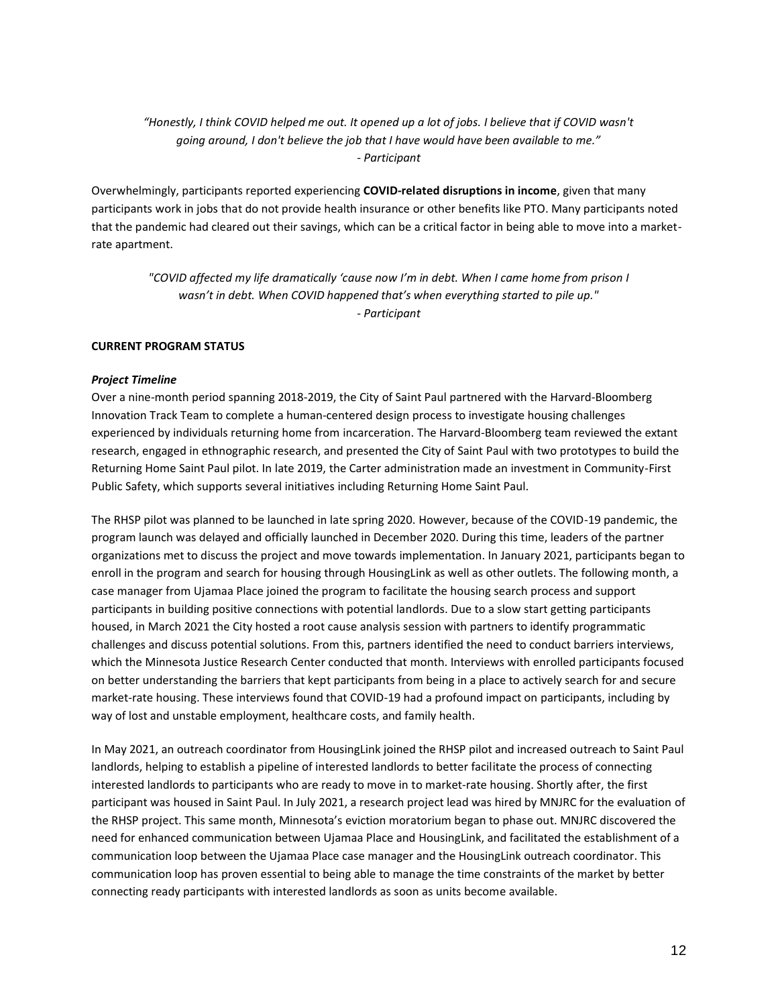## *"Honestly, I think COVID helped me out. It opened up a lot of jobs. I believe that if COVID wasn't going around, I don't believe the job that I have would have been available to me." - Participant*

Overwhelmingly, participants reported experiencing **COVID-related disruptions in income**, given that many participants work in jobs that do not provide health insurance or other benefits like PTO. Many participants noted that the pandemic had cleared out their savings, which can be a critical factor in being able to move into a marketrate apartment.

*"COVID affected my life dramatically 'cause now I'm in debt. When I came home from prison I wasn't in debt. When COVID happened that's when everything started to pile up." - Participant*

#### **CURRENT PROGRAM STATUS**

#### *Project Timeline*

Over a nine-month period spanning 2018-2019, the City of Saint Paul partnered with the Harvard‐Bloomberg Innovation Track Team to complete a human-centered design process to investigate housing challenges experienced by individuals returning home from incarceration. The Harvard-Bloomberg team reviewed the extant research, engaged in ethnographic research, and presented the City of Saint Paul with two prototypes to build the Returning Home Saint Paul pilot. In late 2019, the Carter administration made an investment in Community-First Public Safety, which supports several initiatives including Returning Home Saint Paul.

The RHSP pilot was planned to be launched in late spring 2020. However, because of the COVID-19 pandemic, the program launch was delayed and officially launched in December 2020. During this time, leaders of the partner organizations met to discuss the project and move towards implementation. In January 2021, participants began to enroll in the program and search for housing through HousingLink as well as other outlets. The following month, a case manager from Ujamaa Place joined the program to facilitate the housing search process and support participants in building positive connections with potential landlords. Due to a slow start getting participants housed, in March 2021 the City hosted a root cause analysis session with partners to identify programmatic challenges and discuss potential solutions. From this, partners identified the need to conduct barriers interviews, which the Minnesota Justice Research Center conducted that month. Interviews with enrolled participants focused on better understanding the barriers that kept participants from being in a place to actively search for and secure market-rate housing. These interviews found that COVID-19 had a profound impact on participants, including by way of lost and unstable employment, healthcare costs, and family health.

In May 2021, an outreach coordinator from HousingLink joined the RHSP pilot and increased outreach to Saint Paul landlords, helping to establish a pipeline of interested landlords to better facilitate the process of connecting interested landlords to participants who are ready to move in to market-rate housing. Shortly after, the first participant was housed in Saint Paul. In July 2021, a research project lead was hired by MNJRC for the evaluation of the RHSP project. This same month, Minnesota's eviction moratorium began to phase out. MNJRC discovered the need for enhanced communication between Ujamaa Place and HousingLink, and facilitated the establishment of a communication loop between the Ujamaa Place case manager and the HousingLink outreach coordinator. This communication loop has proven essential to being able to manage the time constraints of the market by better connecting ready participants with interested landlords as soon as units become available.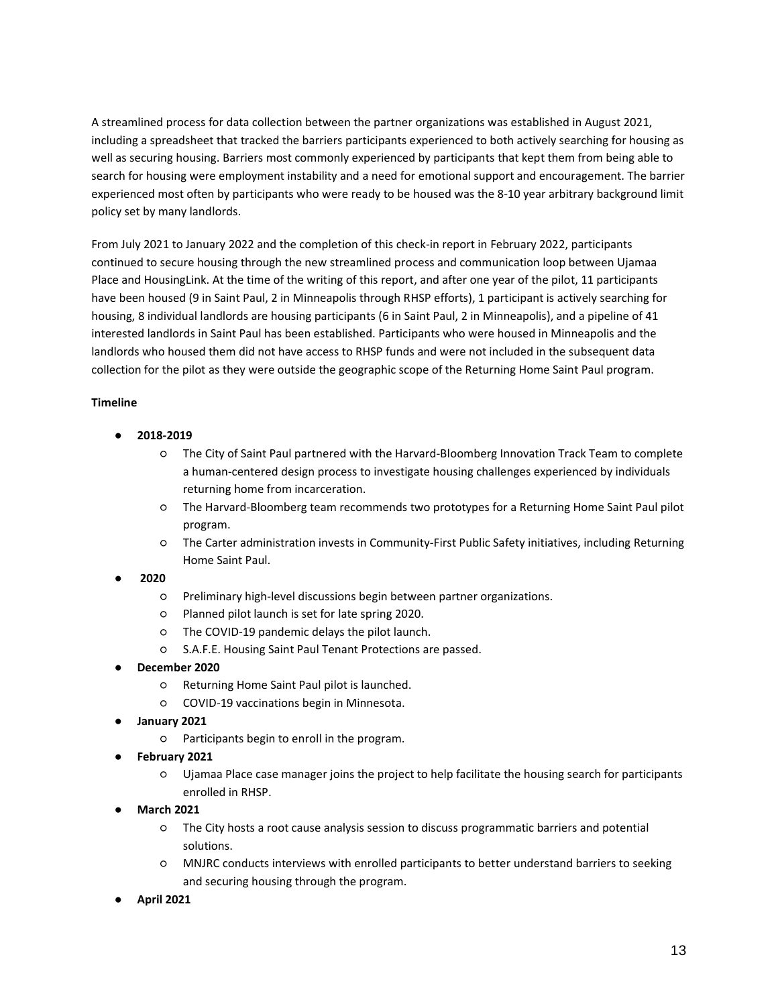A streamlined process for data collection between the partner organizations was established in August 2021, including a spreadsheet that tracked the barriers participants experienced to both actively searching for housing as well as securing housing. Barriers most commonly experienced by participants that kept them from being able to search for housing were employment instability and a need for emotional support and encouragement. The barrier experienced most often by participants who were ready to be housed was the 8-10 year arbitrary background limit policy set by many landlords.

From July 2021 to January 2022 and the completion of this check-in report in February 2022, participants continued to secure housing through the new streamlined process and communication loop between Ujamaa Place and HousingLink. At the time of the writing of this report, and after one year of the pilot, 11 participants have been housed (9 in Saint Paul, 2 in Minneapolis through RHSP efforts), 1 participant is actively searching for housing, 8 individual landlords are housing participants (6 in Saint Paul, 2 in Minneapolis), and a pipeline of 41 interested landlords in Saint Paul has been established. Participants who were housed in Minneapolis and the landlords who housed them did not have access to RHSP funds and were not included in the subsequent data collection for the pilot as they were outside the geographic scope of the Returning Home Saint Paul program.

## **Timeline**

- **2018-2019**
	- The City of Saint Paul partnered with the Harvard‐Bloomberg Innovation Track Team to complete a human‐centered design process to investigate housing challenges experienced by individuals returning home from incarceration.
	- The Harvard-Bloomberg team recommends two prototypes for a Returning Home Saint Paul pilot program.
	- The Carter administration invests in Community-First Public Safety initiatives, including Returning Home Saint Paul.
- **2020**
	- Preliminary high-level discussions begin between partner organizations.
	- Planned pilot launch is set for late spring 2020.
	- The COVID-19 pandemic delays the pilot launch.
	- S.A.F.E. Housing Saint Paul Tenant Protections are passed.
- **December 2020**
	- Returning Home Saint Paul pilot is launched.
	- COVID-19 vaccinations begin in Minnesota.
- **January 2021**
	- Participants begin to enroll in the program.
- **February 2021**
	- Ujamaa Place case manager joins the project to help facilitate the housing search for participants enrolled in RHSP.
- **March 2021**
	- The City hosts a root cause analysis session to discuss programmatic barriers and potential solutions.
	- MNJRC conducts interviews with enrolled participants to better understand barriers to seeking and securing housing through the program.
- **April 2021**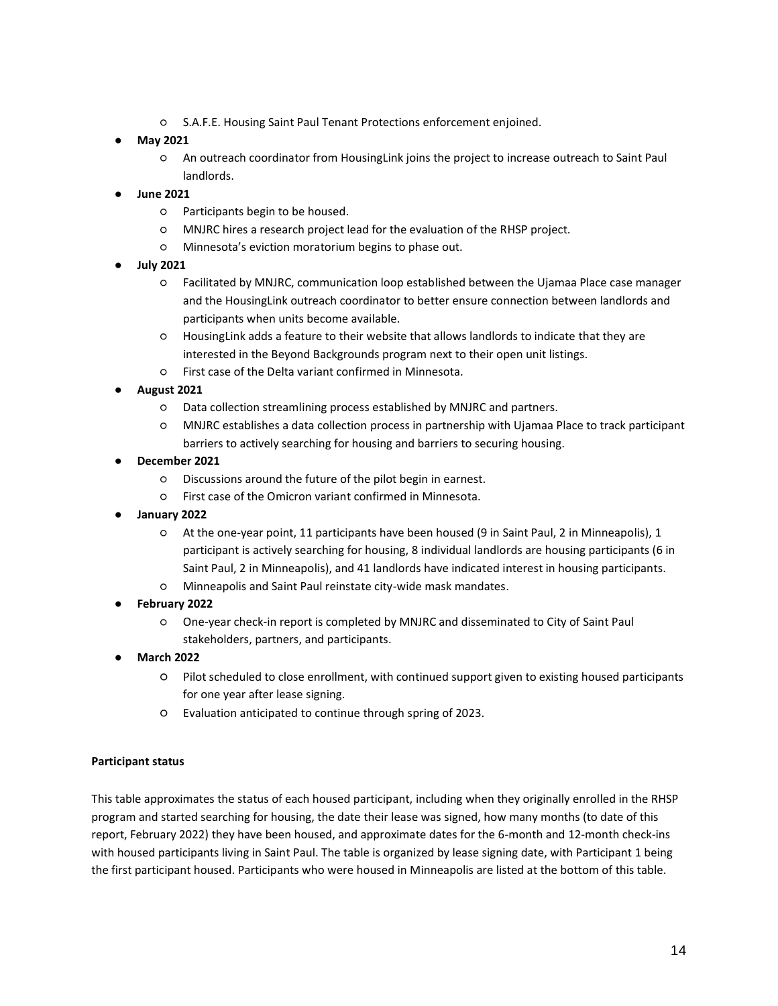○ S.A.F.E. Housing Saint Paul Tenant Protections enforcement enjoined.

## ● **May 2021**

- An outreach coordinator from HousingLink joins the project to increase outreach to Saint Paul landlords.
- **June 2021**
	- Participants begin to be housed.
	- MNJRC hires a research project lead for the evaluation of the RHSP project.
	- Minnesota's eviction moratorium begins to phase out.
- **July 2021**
	- Facilitated by MNJRC, communication loop established between the Ujamaa Place case manager and the HousingLink outreach coordinator to better ensure connection between landlords and participants when units become available.
	- HousingLink adds a feature to their website that allows landlords to indicate that they are interested in the Beyond Backgrounds program next to their open unit listings.
	- First case of the Delta variant confirmed in Minnesota.
- **August 2021**
	- Data collection streamlining process established by MNJRC and partners.
	- MNJRC establishes a data collection process in partnership with Ujamaa Place to track participant barriers to actively searching for housing and barriers to securing housing.
- **December 2021**
	- Discussions around the future of the pilot begin in earnest.
	- First case of the Omicron variant confirmed in Minnesota.
- **January 2022**
	- At the one-year point, 11 participants have been housed (9 in Saint Paul, 2 in Minneapolis), 1 participant is actively searching for housing, 8 individual landlords are housing participants (6 in Saint Paul, 2 in Minneapolis), and 41 landlords have indicated interest in housing participants.
	- Minneapolis and Saint Paul reinstate city-wide mask mandates.
- **February 2022**
	- One-year check-in report is completed by MNJRC and disseminated to City of Saint Paul stakeholders, partners, and participants.
- **March 2022**
	- Pilot scheduled to close enrollment, with continued support given to existing housed participants for one year after lease signing.
	- Evaluation anticipated to continue through spring of 2023.

## **Participant status**

This table approximates the status of each housed participant, including when they originally enrolled in the RHSP program and started searching for housing, the date their lease was signed, how many months (to date of this report, February 2022) they have been housed, and approximate dates for the 6-month and 12-month check-ins with housed participants living in Saint Paul. The table is organized by lease signing date, with Participant 1 being the first participant housed. Participants who were housed in Minneapolis are listed at the bottom of this table.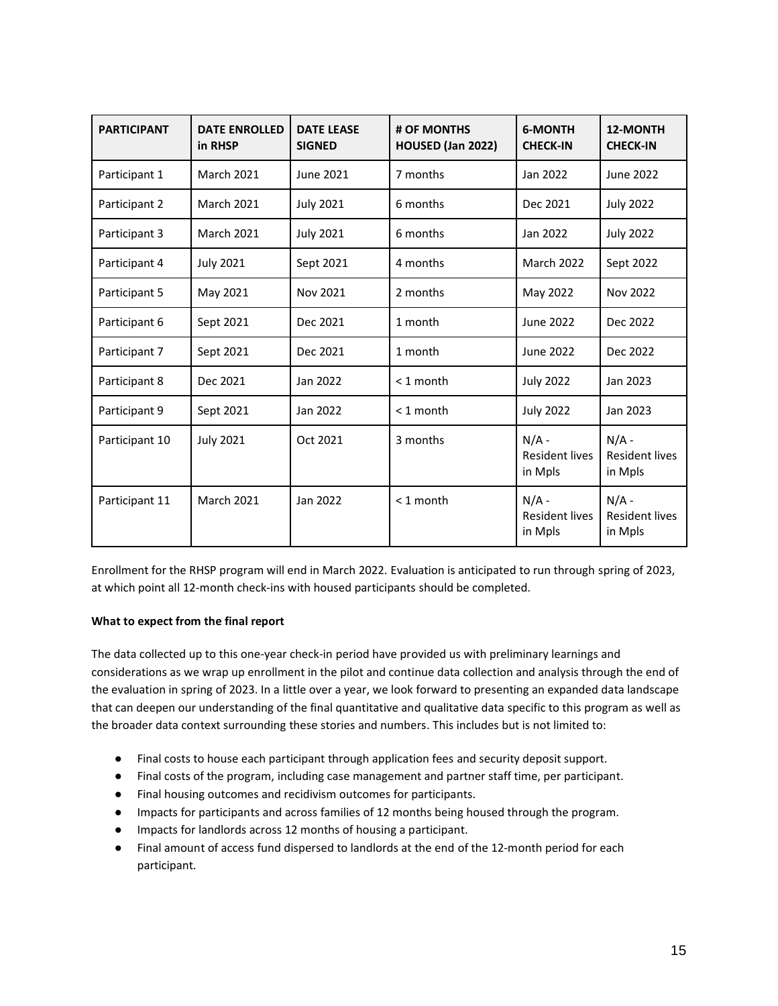| <b>PARTICIPANT</b> | <b>DATE ENROLLED</b><br>in RHSP | <b>DATE LEASE</b><br><b>SIGNED</b> | # OF MONTHS<br>HOUSED (Jan 2022) | <b>6-MONTH</b><br><b>CHECK-IN</b>           | 12-MONTH<br><b>CHECK-IN</b>                 |
|--------------------|---------------------------------|------------------------------------|----------------------------------|---------------------------------------------|---------------------------------------------|
| Participant 1      | <b>March 2021</b>               | June 2021                          | 7 months                         | Jan 2022                                    | June 2022                                   |
| Participant 2      | <b>March 2021</b>               | <b>July 2021</b>                   | 6 months                         | Dec 2021                                    | <b>July 2022</b>                            |
| Participant 3      | <b>March 2021</b>               | <b>July 2021</b>                   | 6 months                         | Jan 2022                                    | <b>July 2022</b>                            |
| Participant 4      | <b>July 2021</b>                | Sept 2021                          | 4 months                         | <b>March 2022</b>                           | Sept 2022                                   |
| Participant 5      | May 2021                        | Nov 2021                           | 2 months                         | May 2022                                    | Nov 2022                                    |
| Participant 6      | Sept 2021                       | Dec 2021                           | 1 month                          | June 2022                                   | Dec 2022                                    |
| Participant 7      | Sept 2021                       | Dec 2021                           | 1 month                          | June 2022                                   | Dec 2022                                    |
| Participant 8      | Dec 2021                        | Jan 2022                           | $<$ 1 month                      | <b>July 2022</b>                            | Jan 2023                                    |
| Participant 9      | Sept 2021                       | Jan 2022                           | $<$ 1 month                      | <b>July 2022</b>                            | Jan 2023                                    |
| Participant 10     | <b>July 2021</b>                | Oct 2021                           | 3 months                         | $N/A -$<br><b>Resident lives</b><br>in Mpls | $N/A$ -<br><b>Resident lives</b><br>in Mpls |
| Participant 11     | <b>March 2021</b>               | Jan 2022                           | $<$ 1 month                      | $N/A -$<br><b>Resident lives</b><br>in Mpls | $N/A -$<br><b>Resident lives</b><br>in Mpls |

Enrollment for the RHSP program will end in March 2022. Evaluation is anticipated to run through spring of 2023, at which point all 12-month check-ins with housed participants should be completed.

## **What to expect from the final report**

The data collected up to this one-year check-in period have provided us with preliminary learnings and considerations as we wrap up enrollment in the pilot and continue data collection and analysis through the end of the evaluation in spring of 2023. In a little over a year, we look forward to presenting an expanded data landscape that can deepen our understanding of the final quantitative and qualitative data specific to this program as well as the broader data context surrounding these stories and numbers. This includes but is not limited to:

- Final costs to house each participant through application fees and security deposit support.
- Final costs of the program, including case management and partner staff time, per participant.
- Final housing outcomes and recidivism outcomes for participants.
- Impacts for participants and across families of 12 months being housed through the program.
- Impacts for landlords across 12 months of housing a participant.
- Final amount of access fund dispersed to landlords at the end of the 12-month period for each participant.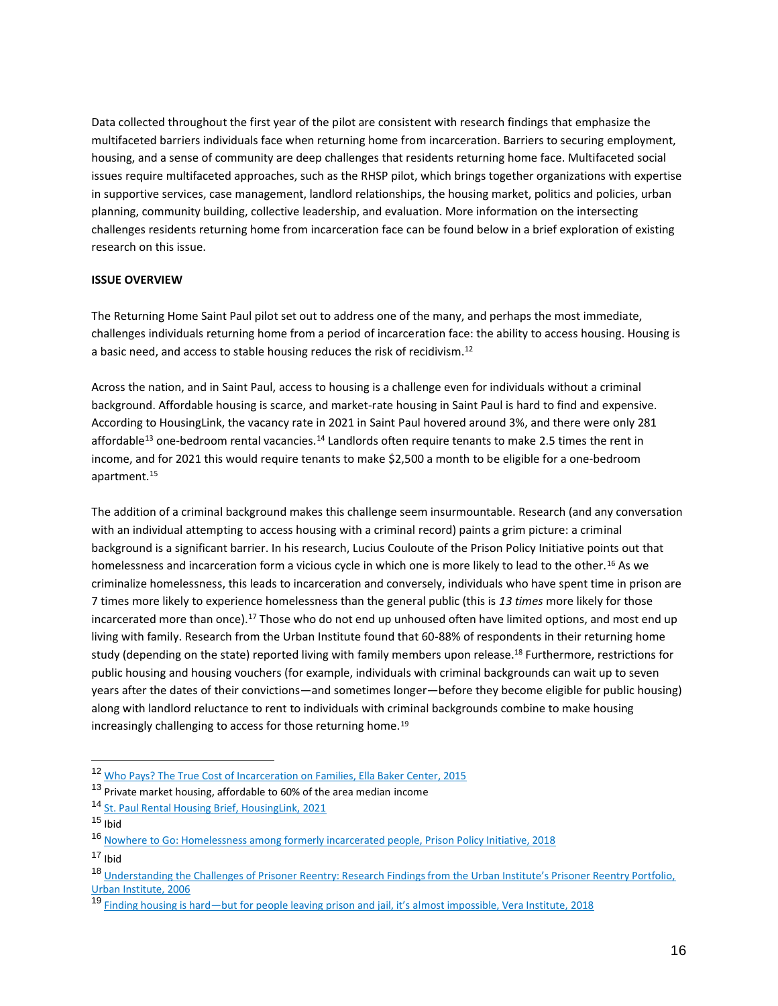Data collected throughout the first year of the pilot are consistent with research findings that emphasize the multifaceted barriers individuals face when returning home from incarceration. Barriers to securing employment, housing, and a sense of community are deep challenges that residents returning home face. Multifaceted social issues require multifaceted approaches, such as the RHSP pilot, which brings together organizations with expertise in supportive services, case management, landlord relationships, the housing market, politics and policies, urban planning, community building, collective leadership, and evaluation. More information on the intersecting challenges residents returning home from incarceration face can be found below in a brief exploration of existing research on this issue.

## **ISSUE OVERVIEW**

The Returning Home Saint Paul pilot set out to address one of the many, and perhaps the most immediate, challenges individuals returning home from a period of incarceration face: the ability to access housing. Housing is a basic need, and access to stable housing reduces the risk of recidivism.<sup>12</sup>

Across the nation, and in Saint Paul, access to housing is a challenge even for individuals without a criminal background. Affordable housing is scarce, and market-rate housing in Saint Paul is hard to find and expensive. According to HousingLink, the vacancy rate in 2021 in Saint Paul hovered around 3%, and there were only 281 affordable<sup>13</sup> one-bedroom rental vacancies.<sup>14</sup> Landlords often require tenants to make 2.5 times the rent in income, and for 2021 this would require tenants to make \$2,500 a month to be eligible for a one-bedroom apartment.<sup>15</sup>

The addition of a criminal background makes this challenge seem insurmountable. Research (and any conversation with an individual attempting to access housing with a criminal record) paints a grim picture: a criminal background is a significant barrier. In his research, Lucius Couloute of the Prison Policy Initiative points out that homelessness and incarceration form a vicious cycle in which one is more likely to lead to the other.<sup>16</sup> As we criminalize homelessness, this leads to incarceration and conversely, individuals who have spent time in prison are 7 times more likely to experience homelessness than the general public (this is *13 times* more likely for those incarcerated more than once).<sup>17</sup> Those who do not end up unhoused often have limited options, and most end up living with family. Research from the Urban Institute found that 60-88% of respondents in their returning home study (depending on the state) reported living with family members upon release.<sup>18</sup> Furthermore, restrictions for public housing and housing vouchers (for example, individuals with criminal backgrounds can wait up to seven years after the dates of their convictions—and sometimes longer—before they become eligible for public housing) along with landlord reluctance to rent to individuals with criminal backgrounds combine to make housing increasingly challenging to access for those returning home.<sup>19</sup>

<sup>12</sup> [Who Pays? The True Cost of Incarceration on Families, Ella Baker Center, 2015](https://ellabakercenter.org/who-pays-the-true-cost-of-incarceration-on-families/)

<sup>&</sup>lt;sup>13</sup> Private market housing, affordable to 60% of the area median income

<sup>14</sup> [St. Paul Rental Housing Brief, HousingLink, 2021](https://www.housinglink.org/Research/st-paul-rental-housing-brief)

 $15$  Ibid

<sup>16</sup> [Nowhere to Go: Homelessness among formerly incarcerated people, Prison Policy Initiative, 2018](https://www.prisonpolicy.org/reports/housing.html)

 $17$  Ibid

<sup>18</sup> Understanding the Challenges of Prisoner Reentry: Research Findings from the Urban Institute's Prisoner Reentry Portfolio, [Urban Institute, 2006](https://www.urban.org/sites/default/files/publication/42981/411289-Understanding-the-Challenges-of-Prisoner-Reentry.PDF)

<sup>19</sup> Finding housing is hard[—but for people leaving prison and jail, it's almost impossible, Vera Institute, 2018](https://www.vera.org/blog/finding-housing-is-hard-but-for-people-leaving-prison-and-jail-its-almost-impossible)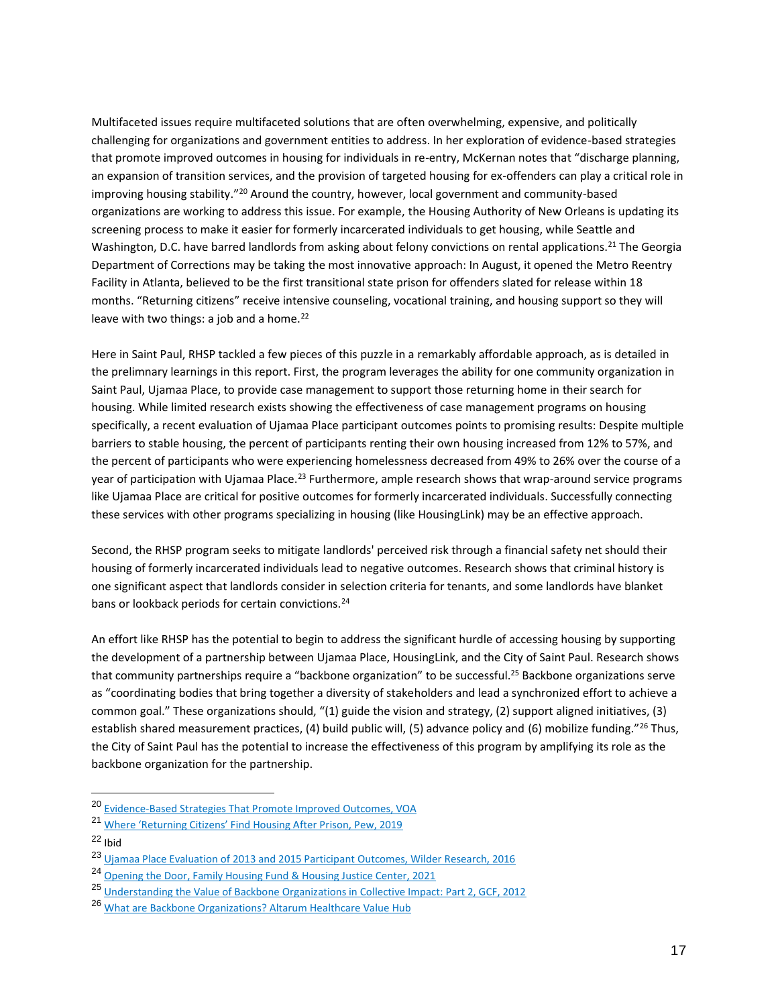Multifaceted issues require multifaceted solutions that are often overwhelming, expensive, and politically challenging for organizations and government entities to address. In her exploration of evidence-based strategies that promote improved outcomes in housing for individuals in re-entry, McKernan notes that "discharge planning, an expansion of transition services, and the provision of targeted housing for ex-offenders can play a critical role in improving housing stability."<sup>20</sup> Around the country, however, local government and community-based organizations are working to address this issue. For example, the Housing Authority of New Orleans is updating its screening process to make it easier for formerly incarcerated individuals to get housing, while Seattle and Washington, D.C. have barred landlords from asking about felony convictions on rental applications.<sup>21</sup> The Georgia Department of Corrections may be taking the most innovative approach: In August, it opened the Metro Reentry Facility in Atlanta, believed to be the first transitional state prison for offenders slated for release within 18 months. "Returning citizens" receive intensive counseling, vocational training, and housing support so they will leave with two things: a job and a home. $^{22}$ 

Here in Saint Paul, RHSP tackled a few pieces of this puzzle in a remarkably affordable approach, as is detailed in the prelimnary learnings in this report. First, the program leverages the ability for one community organization in Saint Paul, Ujamaa Place, to provide case management to support those returning home in their search for housing. While limited research exists showing the effectiveness of case management programs on housing specifically, a recent evaluation of Ujamaa Place participant outcomes points to promising results: Despite multiple barriers to stable housing, the percent of participants renting their own housing increased from 12% to 57%, and the percent of participants who were experiencing homelessness decreased from 49% to 26% over the course of a year of participation with Ujamaa Place.<sup>23</sup> Furthermore, ample research shows that wrap-around service programs like Ujamaa Place are critical for positive outcomes for formerly incarcerated individuals. Successfully connecting these services with other programs specializing in housing (like HousingLink) may be an effective approach.

Second, the RHSP program seeks to mitigate landlords' perceived risk through a financial safety net should their housing of formerly incarcerated individuals lead to negative outcomes. Research shows that criminal history is one significant aspect that landlords consider in selection criteria for tenants, and some landlords have blanket bans or lookback periods for certain convictions.<sup>24</sup>

An effort like RHSP has the potential to begin to address the significant hurdle of accessing housing by supporting the development of a partnership between Ujamaa Place, HousingLink, and the City of Saint Paul. Research shows that community partnerships require a "backbone organization" to be successful.<sup>25</sup> Backbone organizations serve as "coordinating bodies that bring together a diversity of stakeholders and lead a synchronized effort to achieve a common goal." These organizations should, "(1) guide the vision and strategy, (2) support aligned initiatives, (3) establish shared measurement practices, (4) build public will, (5) advance policy and (6) mobilize funding."<sup>26</sup> Thus, the City of Saint Paul has the potential to increase the effectiveness of this program by amplifying its role as the backbone organization for the partnership.

<sup>20</sup> [Evidence-Based Strategies That Promote Improved Outcomes, VOA](https://www.voa.org/homelessness-and-prisoner-reentry)

<sup>21</sup> [Where 'Returning Citizens' Find Housing A](https://www.pewtrusts.org/en/research-and-analysis/blogs/stateline/2019/04/23/where-returning-citizens-find-housing-after-prison)fter Prison, Pew, 2019

<sup>22</sup> Ibid

<sup>&</sup>lt;sup>23</sup> [Ujamaa Place Evaluation of 2013 and 2015 Participant Outcomes, Wilder Research, 2016](https://www.wilder.org/wilder-research/research-library/ujamaa-place-evaluation-2013-2015-participant-outcomes)

<sup>24</sup> [Opening the Door, Family Housing Fund & Housing Justice Center, 2021](https://www.hjcmn.org/wp-content/uploads/2021/04/Tenant-Screening-Report.pdf)

<sup>25</sup> [Understanding the Value of Backbone Organizations in Collective Impact: Part 2, GCF, 2012](https://ssir.org/articles/entry/understanding_the_value_of_backbone_organizations_in_collective_impact_2)

<sup>26</sup> [What are Backbone Organizations? Altarum Healthcare Value Hub](https://healthcarevaluehub.org/advocate-resources/what-are-backbone-organizations)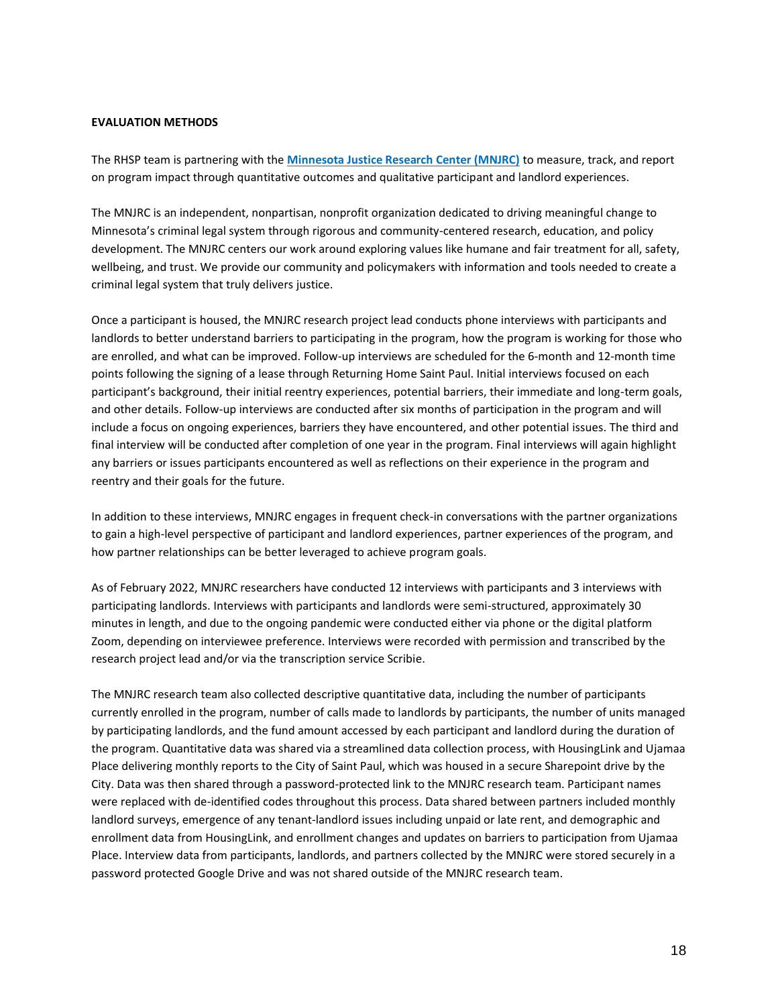#### **EVALUATION METHODS**

The RHSP team is partnering with the **[Minnesota Justice Research Center \(MNJRC\)](https://www.mnjrc.org/what-do-we-do)** [t](https://www.mnjrc.org/what-do-we-do)o measure, track, and report on program impact through quantitative outcomes and qualitative participant and landlord experiences.

The MNJRC is an independent, nonpartisan, nonprofit organization dedicated to driving meaningful change to Minnesota's criminal legal system through rigorous and community-centered research, education, and policy development. The MNJRC centers our work around exploring values like humane and fair treatment for all, safety, wellbeing, and trust. We provide our community and policymakers with information and tools needed to create a criminal legal system that truly delivers justice.

Once a participant is housed, the MNJRC research project lead conducts phone interviews with participants and landlords to better understand barriers to participating in the program, how the program is working for those who are enrolled, and what can be improved. Follow-up interviews are scheduled for the 6-month and 12-month time points following the signing of a lease through Returning Home Saint Paul. Initial interviews focused on each participant's background, their initial reentry experiences, potential barriers, their immediate and long-term goals, and other details. Follow-up interviews are conducted after six months of participation in the program and will include a focus on ongoing experiences, barriers they have encountered, and other potential issues. The third and final interview will be conducted after completion of one year in the program. Final interviews will again highlight any barriers or issues participants encountered as well as reflections on their experience in the program and reentry and their goals for the future.

In addition to these interviews, MNJRC engages in frequent check-in conversations with the partner organizations to gain a high-level perspective of participant and landlord experiences, partner experiences of the program, and how partner relationships can be better leveraged to achieve program goals.

As of February 2022, MNJRC researchers have conducted 12 interviews with participants and 3 interviews with participating landlords. Interviews with participants and landlords were semi-structured, approximately 30 minutes in length, and due to the ongoing pandemic were conducted either via phone or the digital platform Zoom, depending on interviewee preference. Interviews were recorded with permission and transcribed by the research project lead and/or via the transcription service Scribie.

The MNJRC research team also collected descriptive quantitative data, including the number of participants currently enrolled in the program, number of calls made to landlords by participants, the number of units managed by participating landlords, and the fund amount accessed by each participant and landlord during the duration of the program. Quantitative data was shared via a streamlined data collection process, with HousingLink and Ujamaa Place delivering monthly reports to the City of Saint Paul, which was housed in a secure Sharepoint drive by the City. Data was then shared through a password-protected link to the MNJRC research team. Participant names were replaced with de-identified codes throughout this process. Data shared between partners included monthly landlord surveys, emergence of any tenant-landlord issues including unpaid or late rent, and demographic and enrollment data from HousingLink, and enrollment changes and updates on barriers to participation from Ujamaa Place. Interview data from participants, landlords, and partners collected by the MNJRC were stored securely in a password protected Google Drive and was not shared outside of the MNJRC research team.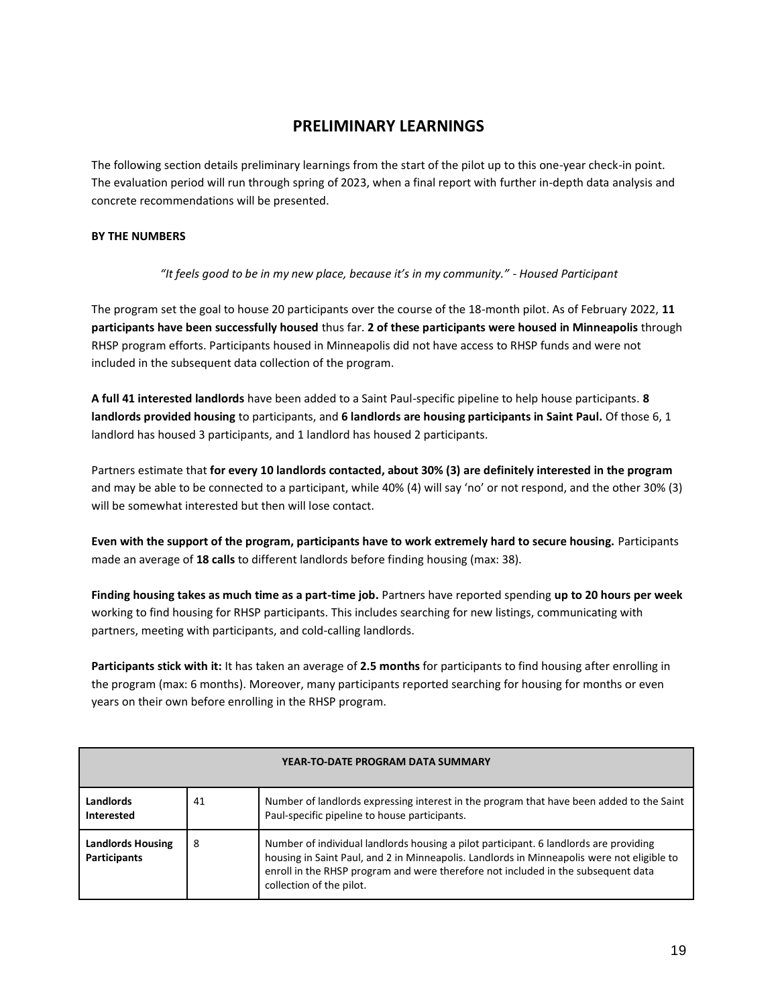# **PRELIMINARY LEARNINGS**

The following section details preliminary learnings from the start of the pilot up to this one-year check-in point. The evaluation period will run through spring of 2023, when a final report with further in-depth data analysis and concrete recommendations will be presented.

## **BY THE NUMBERS**

## *"It feels good to be in my new place, because it's in my community." - Housed Participant*

The program set the goal to house 20 participants over the course of the 18-month pilot. As of February 2022, **11 participants have been successfully housed** thus far. **2 of these participants were housed in Minneapolis** through RHSP program efforts. Participants housed in Minneapolis did not have access to RHSP funds and were not included in the subsequent data collection of the program.

**A full 41 interested landlords** have been added to a Saint Paul-specific pipeline to help house participants. **8 landlords provided housing** to participants, and **6 landlords are housing participants in Saint Paul.** Of those 6, 1 landlord has housed 3 participants, and 1 landlord has housed 2 participants.

Partners estimate that **for every 10 landlords contacted, about 30% (3) are definitely interested in the program** and may be able to be connected to a participant, while 40% (4) will say 'no' or not respond, and the other 30% (3) will be somewhat interested but then will lose contact.

**Even with the support of the program, participants have to work extremely hard to secure housing.** Participants made an average of **18 calls** to different landlords before finding housing (max: 38).

**Finding housing takes as much time as a part-time job.** Partners have reported spending **up to 20 hours per week** working to find housing for RHSP participants. This includes searching for new listings, communicating with partners, meeting with participants, and cold-calling landlords.

**Participants stick with it:** It has taken an average of **2.5 months** for participants to find housing after enrolling in the program (max: 6 months). Moreover, many participants reported searching for housing for months or even years on their own before enrolling in the RHSP program.

| YEAR-TO-DATE PROGRAM DATA SUMMARY               |    |                                                                                                                                                                                                                                                                                                      |  |  |
|-------------------------------------------------|----|------------------------------------------------------------------------------------------------------------------------------------------------------------------------------------------------------------------------------------------------------------------------------------------------------|--|--|
| Landlords<br>Interested                         | 41 | Number of landlords expressing interest in the program that have been added to the Saint<br>Paul-specific pipeline to house participants.                                                                                                                                                            |  |  |
| <b>Landlords Housing</b><br><b>Participants</b> | 8  | Number of individual landlords housing a pilot participant. 6 landlords are providing<br>housing in Saint Paul, and 2 in Minneapolis. Landlords in Minneapolis were not eligible to<br>enroll in the RHSP program and were therefore not included in the subsequent data<br>collection of the pilot. |  |  |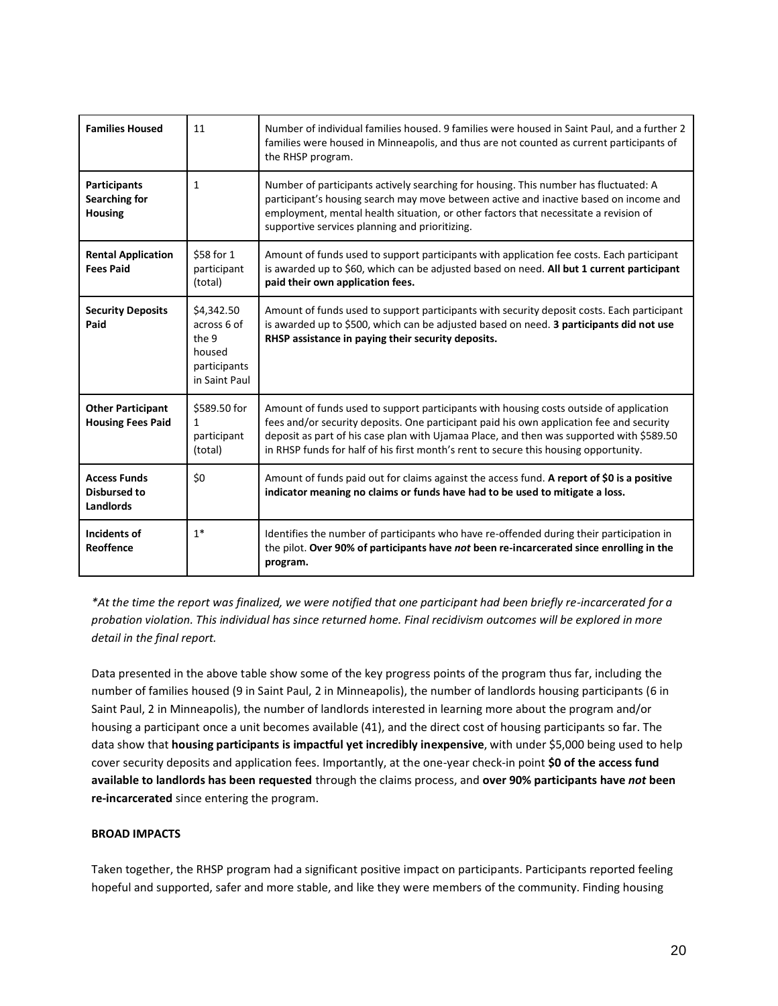| <b>Families Housed</b>                                         | 11                                                                            | Number of individual families housed. 9 families were housed in Saint Paul, and a further 2<br>families were housed in Minneapolis, and thus are not counted as current participants of<br>the RHSP program.                                                                                                                                                           |
|----------------------------------------------------------------|-------------------------------------------------------------------------------|------------------------------------------------------------------------------------------------------------------------------------------------------------------------------------------------------------------------------------------------------------------------------------------------------------------------------------------------------------------------|
| <b>Participants</b><br><b>Searching for</b><br><b>Housing</b>  | $\mathbf{1}$                                                                  | Number of participants actively searching for housing. This number has fluctuated: A<br>participant's housing search may move between active and inactive based on income and<br>employment, mental health situation, or other factors that necessitate a revision of<br>supportive services planning and prioritizing.                                                |
| <b>Rental Application</b><br><b>Fees Paid</b>                  | \$58 for 1<br>participant<br>(total)                                          | Amount of funds used to support participants with application fee costs. Each participant<br>is awarded up to \$60, which can be adjusted based on need. All but 1 current participant<br>paid their own application fees.                                                                                                                                             |
| <b>Security Deposits</b><br>Paid                               | \$4,342.50<br>across 6 of<br>the 9<br>housed<br>participants<br>in Saint Paul | Amount of funds used to support participants with security deposit costs. Each participant<br>is awarded up to \$500, which can be adjusted based on need. 3 participants did not use<br>RHSP assistance in paying their security deposits.                                                                                                                            |
| <b>Other Participant</b><br><b>Housing Fees Paid</b>           | \$589.50 for<br>1<br>participant<br>(total)                                   | Amount of funds used to support participants with housing costs outside of application<br>fees and/or security deposits. One participant paid his own application fee and security<br>deposit as part of his case plan with Ujamaa Place, and then was supported with \$589.50<br>in RHSP funds for half of his first month's rent to secure this housing opportunity. |
| <b>Access Funds</b><br><b>Disbursed to</b><br><b>Landlords</b> | \$0                                                                           | Amount of funds paid out for claims against the access fund. A report of \$0 is a positive<br>indicator meaning no claims or funds have had to be used to mitigate a loss.                                                                                                                                                                                             |
| <b>Incidents of</b><br>Reoffence                               | $1*$                                                                          | Identifies the number of participants who have re-offended during their participation in<br>the pilot. Over 90% of participants have not been re-incarcerated since enrolling in the<br>program.                                                                                                                                                                       |

*\*At the time the report was finalized, we were notified that one participant had been briefly re-incarcerated for a probation violation. This individual has since returned home. Final recidivism outcomes will be explored in more detail in the final report.*

Data presented in the above table show some of the key progress points of the program thus far, including the number of families housed (9 in Saint Paul, 2 in Minneapolis), the number of landlords housing participants (6 in Saint Paul, 2 in Minneapolis), the number of landlords interested in learning more about the program and/or housing a participant once a unit becomes available (41), and the direct cost of housing participants so far. The data show that **housing participants is impactful yet incredibly inexpensive**, with under \$5,000 being used to help cover security deposits and application fees. Importantly, at the one-year check-in point **\$0 of the access fund available to landlords has been requested** through the claims process, and **over 90% participants have** *not* **been re-incarcerated** since entering the program.

## **BROAD IMPACTS**

Taken together, the RHSP program had a significant positive impact on participants. Participants reported feeling hopeful and supported, safer and more stable, and like they were members of the community. Finding housing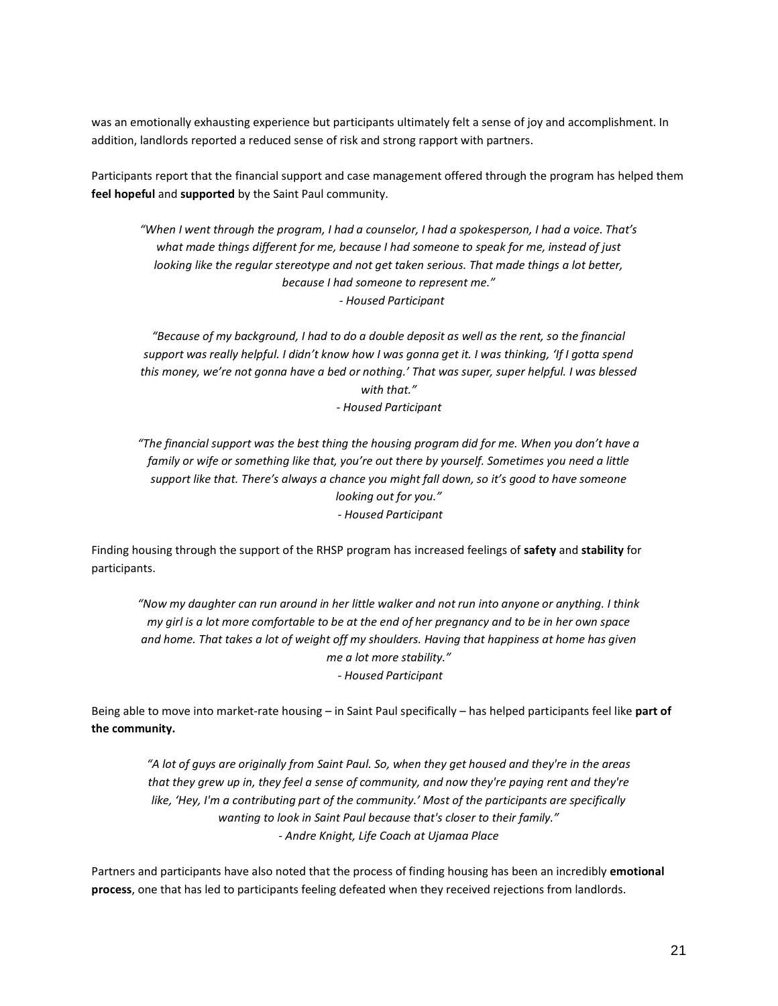was an emotionally exhausting experience but participants ultimately felt a sense of joy and accomplishment. In addition, landlords reported a reduced sense of risk and strong rapport with partners.

Participants report that the financial support and case management offered through the program has helped them **feel hopeful** and **supported** by the Saint Paul community.

*"When I went through the program, I had a counselor, I had a spokesperson, I had a voice. That's what made things different for me, because I had someone to speak for me, instead of just looking like the regular stereotype and not get taken serious. That made things a lot better, because I had someone to represent me." - Housed Participant*

*"Because of my background, I had to do a double deposit as well as the rent, so the financial support was really helpful. I didn't know how I was gonna get it. I was thinking, 'If I gotta spend this money, we're not gonna have a bed or nothing.' That was super, super helpful. I was blessed with that."* 

*- Housed Participant*

*"The financial support was the best thing the housing program did for me. When you don't have a family or wife or something like that, you're out there by yourself. Sometimes you need a little support like that. There's always a chance you might fall down, so it's good to have someone looking out for you." - Housed Participant*

Finding housing through the support of the RHSP program has increased feelings of **safety** and **stability** for participants.

*"Now my daughter can run around in her little walker and not run into anyone or anything. I think my girl is a lot more comfortable to be at the end of her pregnancy and to be in her own space and home. That takes a lot of weight off my shoulders. Having that happiness at home has given me a lot more stability." - Housed Participant*

Being able to move into market-rate housing – in Saint Paul specifically – has helped participants feel like **part of the community.** 

*"A lot of guys are originally from Saint Paul. So, when they get housed and they're in the areas that they grew up in, they feel a sense of community, and now they're paying rent and they're like, 'Hey, I'm a contributing part of the community.' Most of the participants are specifically wanting to look in Saint Paul because that's closer to their family." - Andre Knight, Life Coach at Ujamaa Place*

Partners and participants have also noted that the process of finding housing has been an incredibly **emotional process**, one that has led to participants feeling defeated when they received rejections from landlords.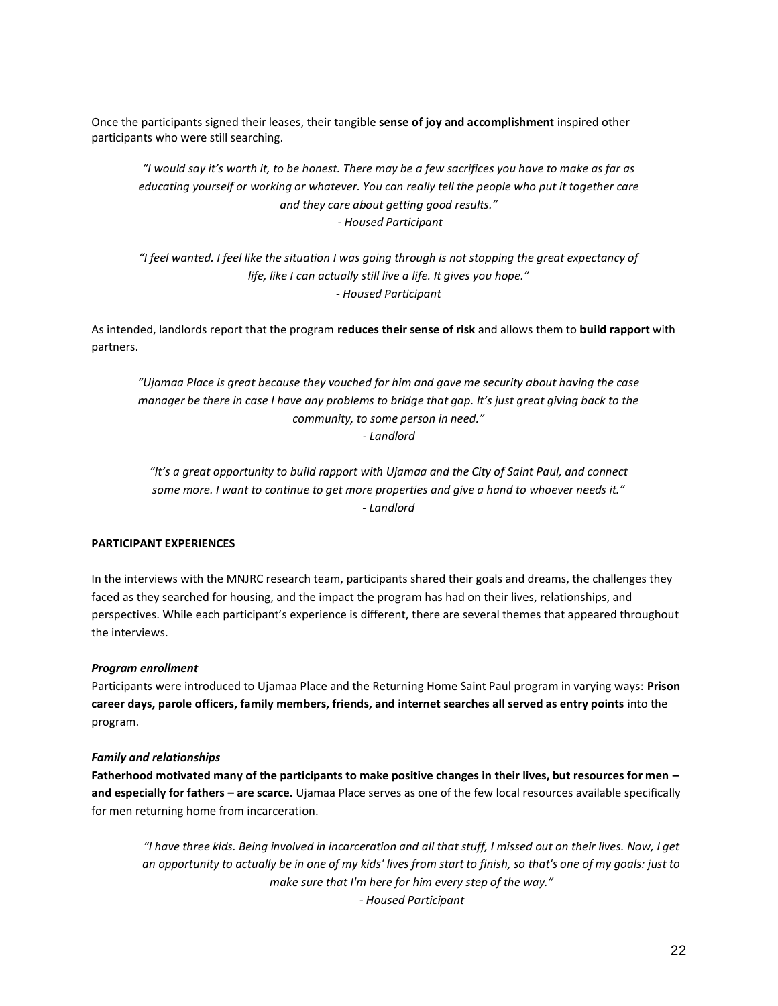Once the participants signed their leases, their tangible **sense of joy and accomplishment** inspired other participants who were still searching.

*"I would say it's worth it, to be honest. There may be a few sacrifices you have to make as far as educating yourself or working or whatever. You can really tell the people who put it together care and they care about getting good results." - Housed Participant*

*"I feel wanted. I feel like the situation I was going through is not stopping the great expectancy of life, like I can actually still live a life. It gives you hope." - Housed Participant* 

As intended, landlords report that the program **reduces their sense of risk** and allows them to **build rapport** with partners.

*"Ujamaa Place is great because they vouched for him and gave me security about having the case manager be there in case I have any problems to bridge that gap. It's just great giving back to the community, to some person in need." - Landlord*

*"It's a great opportunity to build rapport with Ujamaa and the City of Saint Paul, and connect some more. I want to continue to get more properties and give a hand to whoever needs it." - Landlord* 

#### **PARTICIPANT EXPERIENCES**

In the interviews with the MNJRC research team, participants shared their goals and dreams, the challenges they faced as they searched for housing, and the impact the program has had on their lives, relationships, and perspectives. While each participant's experience is different, there are several themes that appeared throughout the interviews.

#### *Program enrollment*

Participants were introduced to Ujamaa Place and the Returning Home Saint Paul program in varying ways: **Prison career days, parole officers, family members, friends, and internet searches all served as entry points** into the program.

#### *Family and relationships*

**Fatherhood motivated many of the participants to make positive changes in their lives, but resources for men – and especially for fathers – are scarce.** Ujamaa Place serves as one of the few local resources available specifically for men returning home from incarceration.

*"I have three kids. Being involved in incarceration and all that stuff, I missed out on their lives. Now, I get an opportunity to actually be in one of my kids' lives from start to finish, so that's one of my goals: just to make sure that I'm here for him every step of the way." - Housed Participant*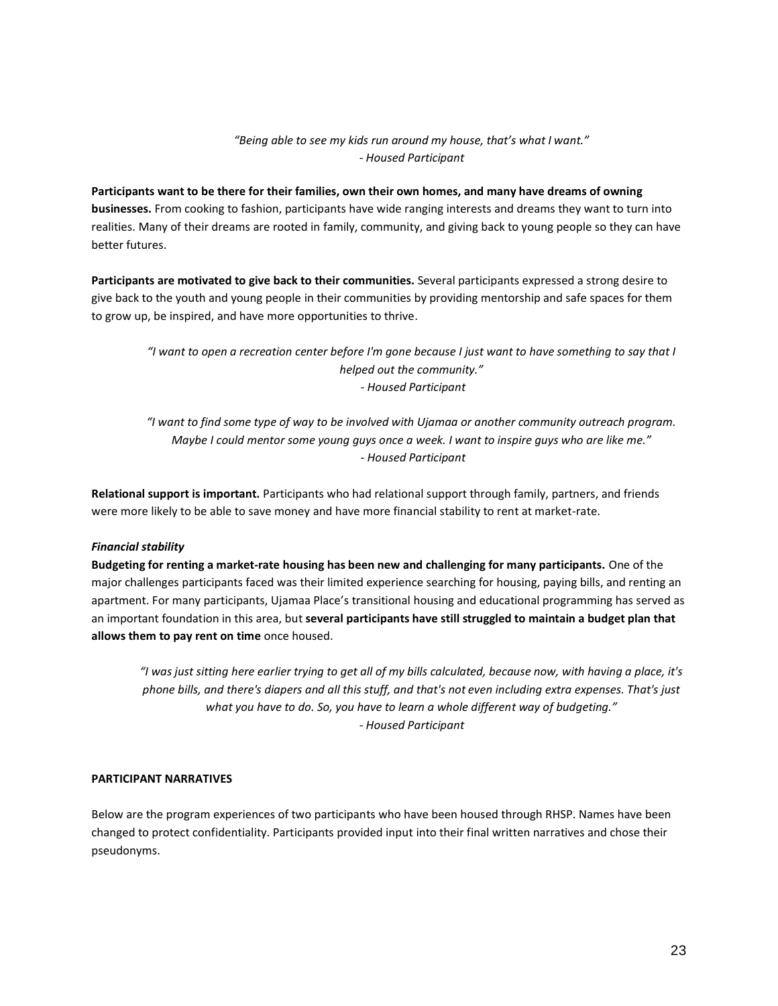## *"Being able to see my kids run around my house, that's what I want." - Housed Participant*

**Participants want to be there for their families, own their own homes, and many have dreams of owning businesses.** From cooking to fashion, participants have wide ranging interests and dreams they want to turn into realities. Many of their dreams are rooted in family, community, and giving back to young people so they can have better futures.

**Participants are motivated to give back to their communities.** Several participants expressed a strong desire to give back to the youth and young people in their communities by providing mentorship and safe spaces for them to grow up, be inspired, and have more opportunities to thrive.

*"I want to open a recreation center before I'm gone because I just want to have something to say that I helped out the community." - Housed Participant*

*"I want to find some type of way to be involved with Ujamaa or another community outreach program. Maybe I could mentor some young guys once a week. I want to inspire guys who are like me." - Housed Participant*

**Relational support is important.** Participants who had relational support through family, partners, and friends were more likely to be able to save money and have more financial stability to rent at market-rate.

## *Financial stability*

**Budgeting for renting a market-rate housing has been new and challenging for many participants.** One of the major challenges participants faced was their limited experience searching for housing, paying bills, and renting an apartment. For many participants, Ujamaa Place's transitional housing and educational programming has served as an important foundation in this area, but **several participants have still struggled to maintain a budget plan that allows them to pay rent on time** once housed.

*"I was just sitting here earlier trying to get all of my bills calculated, because now, with having a place, it's phone bills, and there's diapers and all this stuff, and that's not even including extra expenses. That's just what you have to do. So, you have to learn a whole different way of budgeting." - Housed Participant*

## **PARTICIPANT NARRATIVES**

Below are the program experiences of two participants who have been housed through RHSP. Names have been changed to protect confidentiality. Participants provided input into their final written narratives and chose their pseudonyms.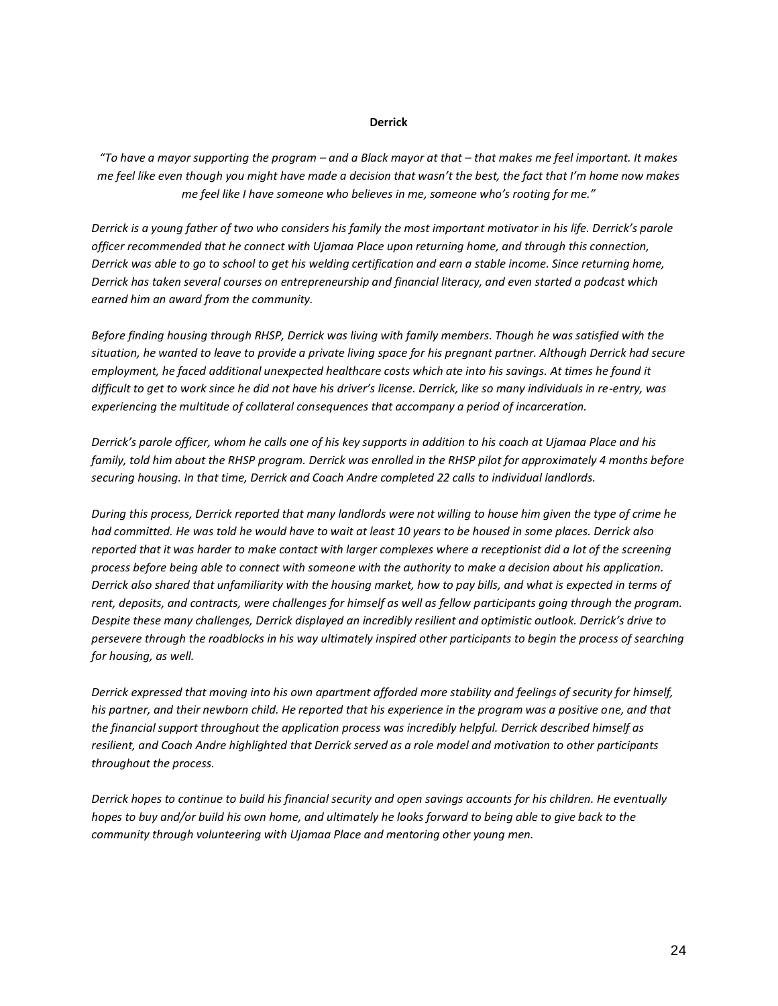#### **Derrick**

*"To have a mayor supporting the program – and a Black mayor at that – that makes me feel important. It makes me feel like even though you might have made a decision that wasn't the best, the fact that I'm home now makes me feel like I have someone who believes in me, someone who's rooting for me."*

*Derrick is a young father of two who considers his family the most important motivator in his life. Derrick's parole officer recommended that he connect with Ujamaa Place upon returning home, and through this connection, Derrick was able to go to school to get his welding certification and earn a stable income. Since returning home, Derrick has taken several courses on entrepreneurship and financial literacy, and even started a podcast which earned him an award from the community.* 

*Before finding housing through RHSP, Derrick was living with family members. Though he was satisfied with the situation, he wanted to leave to provide a private living space for his pregnant partner. Although Derrick had secure employment, he faced additional unexpected healthcare costs which ate into his savings. At times he found it difficult to get to work since he did not have his driver's license. Derrick, like so many individuals in re-entry, was experiencing the multitude of collateral consequences that accompany a period of incarceration.*

*Derrick's parole officer, whom he calls one of his key supports in addition to his coach at Ujamaa Place and his family, told him about the RHSP program. Derrick was enrolled in the RHSP pilot for approximately 4 months before securing housing. In that time, Derrick and Coach Andre completed 22 calls to individual landlords.* 

*During this process, Derrick reported that many landlords were not willing to house him given the type of crime he had committed. He was told he would have to wait at least 10 years to be housed in some places. Derrick also reported that it was harder to make contact with larger complexes where a receptionist did a lot of the screening process before being able to connect with someone with the authority to make a decision about his application. Derrick also shared that unfamiliarity with the housing market, how to pay bills, and what is expected in terms of rent, deposits, and contracts, were challenges for himself as well as fellow participants going through the program. Despite these many challenges, Derrick displayed an incredibly resilient and optimistic outlook. Derrick's drive to persevere through the roadblocks in his way ultimately inspired other participants to begin the process of searching for housing, as well.* 

*Derrick expressed that moving into his own apartment afforded more stability and feelings of security for himself, his partner, and their newborn child. He reported that his experience in the program was a positive one, and that the financial support throughout the application process was incredibly helpful. Derrick described himself as resilient, and Coach Andre highlighted that Derrick served as a role model and motivation to other participants throughout the process.* 

*Derrick hopes to continue to build his financial security and open savings accounts for his children. He eventually hopes to buy and/or build his own home, and ultimately he looks forward to being able to give back to the community through volunteering with Ujamaa Place and mentoring other young men.*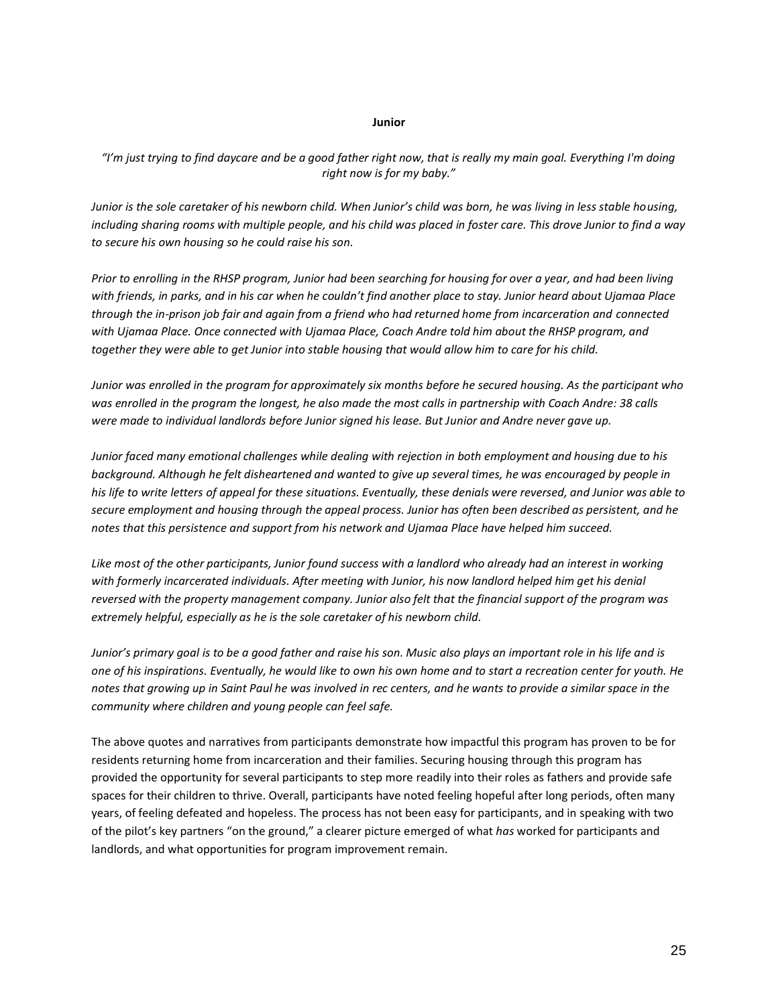#### **Junior**

*"I'm just trying to find daycare and be a good father right now, that is really my main goal. Everything I'm doing right now is for my baby."* 

*Junior is the sole caretaker of his newborn child. When Junior's child was born, he was living in less stable housing, including sharing rooms with multiple people, and his child was placed in foster care. This drove Junior to find a way to secure his own housing so he could raise his son.* 

*Prior to enrolling in the RHSP program, Junior had been searching for housing for over a year, and had been living with friends, in parks, and in his car when he couldn't find another place to stay. Junior heard about Ujamaa Place through the in-prison job fair and again from a friend who had returned home from incarceration and connected with Ujamaa Place. Once connected with Ujamaa Place, Coach Andre told him about the RHSP program, and together they were able to get Junior into stable housing that would allow him to care for his child.* 

*Junior was enrolled in the program for approximately six months before he secured housing. As the participant who was enrolled in the program the longest, he also made the most calls in partnership with Coach Andre: 38 calls were made to individual landlords before Junior signed his lease. But Junior and Andre never gave up.*

*Junior faced many emotional challenges while dealing with rejection in both employment and housing due to his background. Although he felt disheartened and wanted to give up several times, he was encouraged by people in his life to write letters of appeal for these situations. Eventually, these denials were reversed, and Junior was able to secure employment and housing through the appeal process. Junior has often been described as persistent, and he notes that this persistence and support from his network and Ujamaa Place have helped him succeed.* 

Like most of the other participants, Junior found success with a landlord who already had an interest in working with formerly incarcerated individuals. After meeting with Junior, his now landlord helped him get his denial *reversed with the property management company. Junior also felt that the financial support of the program was extremely helpful, especially as he is the sole caretaker of his newborn child.* 

*Junior's primary goal is to be a good father and raise his son. Music also plays an important role in his life and is one of his inspirations. Eventually, he would like to own his own home and to start a recreation center for youth. He notes that growing up in Saint Paul he was involved in rec centers, and he wants to provide a similar space in the community where children and young people can feel safe.* 

The above quotes and narratives from participants demonstrate how impactful this program has proven to be for residents returning home from incarceration and their families. Securing housing through this program has provided the opportunity for several participants to step more readily into their roles as fathers and provide safe spaces for their children to thrive. Overall, participants have noted feeling hopeful after long periods, often many years, of feeling defeated and hopeless. The process has not been easy for participants, and in speaking with two of the pilot's key partners "on the ground," a clearer picture emerged of what *has* worked for participants and landlords, and what opportunities for program improvement remain.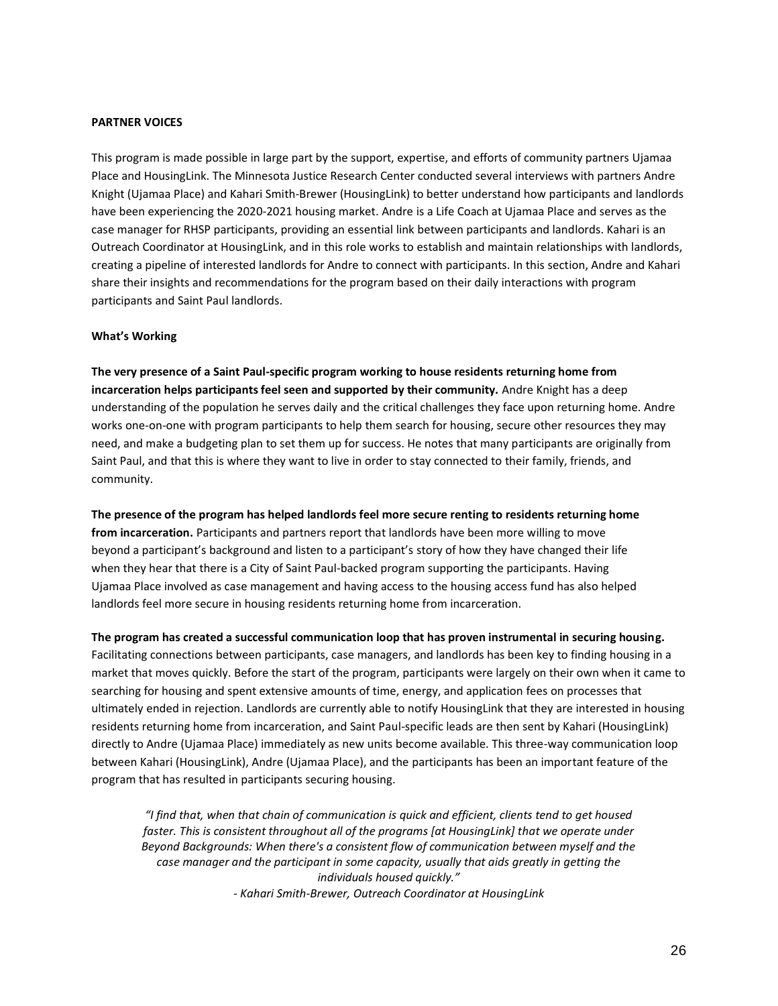#### **PARTNER VOICES**

This program is made possible in large part by the support, expertise, and efforts of community partners Ujamaa Place and HousingLink. The Minnesota Justice Research Center conducted several interviews with partners Andre Knight (Ujamaa Place) and Kahari Smith-Brewer (HousingLink) to better understand how participants and landlords have been experiencing the 2020-2021 housing market. Andre is a Life Coach at Ujamaa Place and serves as the case manager for RHSP participants, providing an essential link between participants and landlords. Kahari is an Outreach Coordinator at HousingLink, and in this role works to establish and maintain relationships with landlords, creating a pipeline of interested landlords for Andre to connect with participants. In this section, Andre and Kahari share their insights and recommendations for the program based on their daily interactions with program participants and Saint Paul landlords.

#### **What's Working**

**The very presence of a Saint Paul-specific program working to house residents returning home from incarceration helps participants feel seen and supported by their community.** Andre Knight has a deep understanding of the population he serves daily and the critical challenges they face upon returning home. Andre works one-on-one with program participants to help them search for housing, secure other resources they may need, and make a budgeting plan to set them up for success. He notes that many participants are originally from Saint Paul, and that this is where they want to live in order to stay connected to their family, friends, and community.

**The presence of the program has helped landlords feel more secure renting to residents returning home from incarceration.** Participants and partners report that landlords have been more willing to move beyond a participant's background and listen to a participant's story of how they have changed their life when they hear that there is a City of Saint Paul-backed program supporting the participants. Having Ujamaa Place involved as case management and having access to the housing access fund has also helped landlords feel more secure in housing residents returning home from incarceration.

**The program has created a successful communication loop that has proven instrumental in securing housing.**  Facilitating connections between participants, case managers, and landlords has been key to finding housing in a market that moves quickly. Before the start of the program, participants were largely on their own when it came to searching for housing and spent extensive amounts of time, energy, and application fees on processes that ultimately ended in rejection. Landlords are currently able to notify HousingLink that they are interested in housing residents returning home from incarceration, and Saint Paul-specific leads are then sent by Kahari (HousingLink) directly to Andre (Ujamaa Place) immediately as new units become available. This three-way communication loop between Kahari (HousingLink), Andre (Ujamaa Place), and the participants has been an important feature of the program that has resulted in participants securing housing.

*"I find that, when that chain of communication is quick and efficient, clients tend to get housed faster. This is consistent throughout all of the programs [at HousingLink] that we operate under Beyond Backgrounds: When there's a consistent flow of communication between myself and the case manager and the participant in some capacity, usually that aids greatly in getting the individuals housed quickly." - Kahari Smith-Brewer, Outreach Coordinator at HousingLink*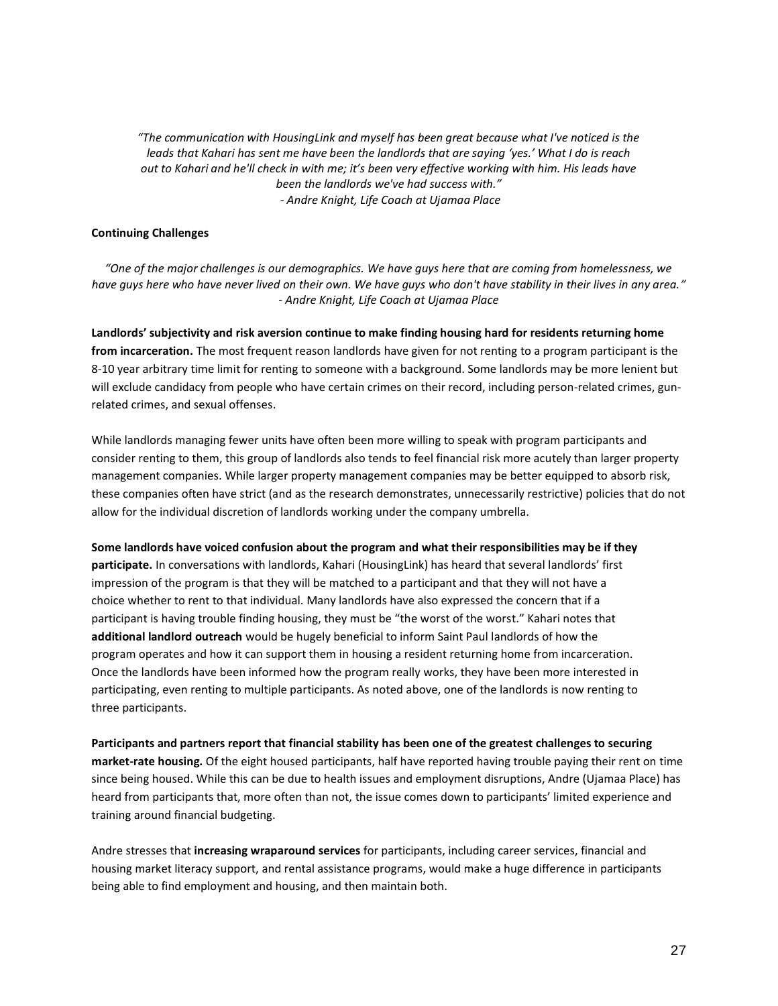*"The communication with HousingLink and myself has been great because what I've noticed is the leads that Kahari has sent me have been the landlords that are saying 'yes.' What I do is reach out to Kahari and he'll check in with me; it's been very effective working with him. His leads have been the landlords we've had success with." - Andre Knight, Life Coach at Ujamaa Place*

#### **Continuing Challenges**

*"One of the major challenges is our demographics. We have guys here that are coming from homelessness, we have guys here who have never lived on their own. We have guys who don't have stability in their lives in any area." - Andre Knight, Life Coach at Ujamaa Place*

**Landlords' subjectivity and risk aversion continue to make finding housing hard for residents returning home from incarceration.** The most frequent reason landlords have given for not renting to a program participant is the 8-10 year arbitrary time limit for renting to someone with a background. Some landlords may be more lenient but will exclude candidacy from people who have certain crimes on their record, including person-related crimes, gunrelated crimes, and sexual offenses.

While landlords managing fewer units have often been more willing to speak with program participants and consider renting to them, this group of landlords also tends to feel financial risk more acutely than larger property management companies. While larger property management companies may be better equipped to absorb risk, these companies often have strict (and as the research demonstrates, unnecessarily restrictive) policies that do not allow for the individual discretion of landlords working under the company umbrella.

**Some landlords have voiced confusion about the program and what their responsibilities may be if they participate.** In conversations with landlords, Kahari (HousingLink) has heard that several landlords' first impression of the program is that they will be matched to a participant and that they will not have a choice whether to rent to that individual. Many landlords have also expressed the concern that if a participant is having trouble finding housing, they must be "the worst of the worst." Kahari notes that **additional landlord outreach** would be hugely beneficial to inform Saint Paul landlords of how the program operates and how it can support them in housing a resident returning home from incarceration. Once the landlords have been informed how the program really works, they have been more interested in participating, even renting to multiple participants. As noted above, one of the landlords is now renting to three participants.

**Participants and partners report that financial stability has been one of the greatest challenges to securing market-rate housing.** Of the eight housed participants, half have reported having trouble paying their rent on time since being housed. While this can be due to health issues and employment disruptions, Andre (Ujamaa Place) has heard from participants that, more often than not, the issue comes down to participants' limited experience and training around financial budgeting.

Andre stresses that **increasing wraparound services** for participants, including career services, financial and housing market literacy support, and rental assistance programs, would make a huge difference in participants being able to find employment and housing, and then maintain both.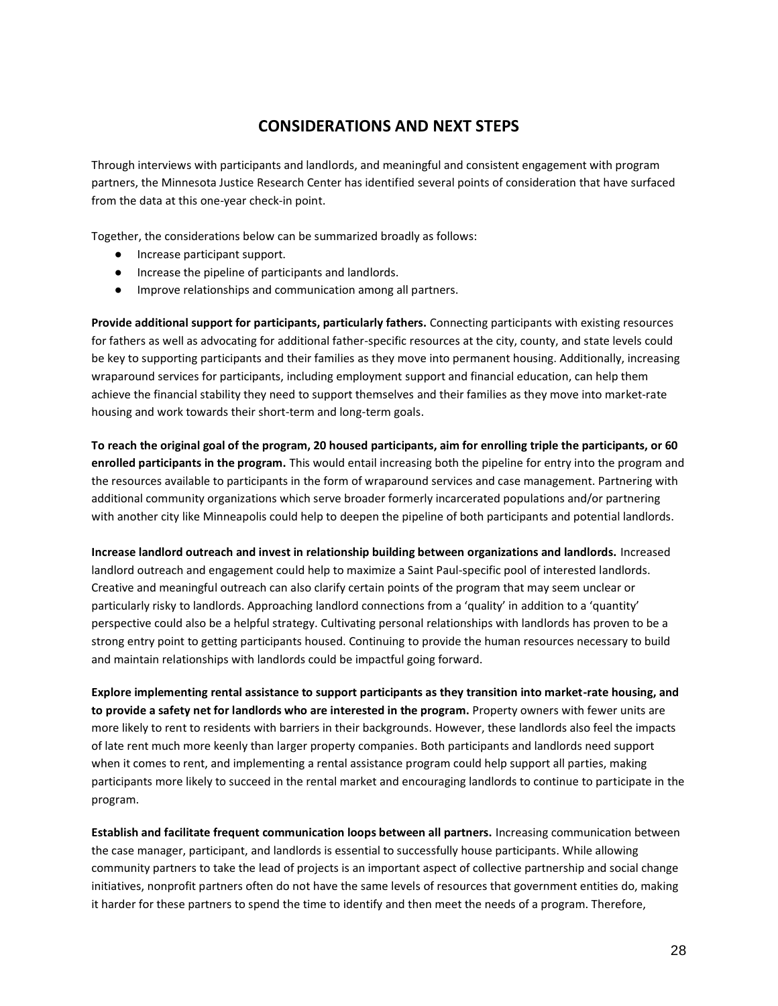# **CONSIDERATIONS AND NEXT STEPS**

Through interviews with participants and landlords, and meaningful and consistent engagement with program partners, the Minnesota Justice Research Center has identified several points of consideration that have surfaced from the data at this one-year check-in point.

Together, the considerations below can be summarized broadly as follows:

- Increase participant support.
- Increase the pipeline of participants and landlords.
- Improve relationships and communication among all partners.

**Provide additional support for participants, particularly fathers.** Connecting participants with existing resources for fathers as well as advocating for additional father-specific resources at the city, county, and state levels could be key to supporting participants and their families as they move into permanent housing. Additionally, increasing wraparound services for participants, including employment support and financial education, can help them achieve the financial stability they need to support themselves and their families as they move into market-rate housing and work towards their short-term and long-term goals.

**To reach the original goal of the program, 20 housed participants, aim for enrolling triple the participants, or 60 enrolled participants in the program.** This would entail increasing both the pipeline for entry into the program and the resources available to participants in the form of wraparound services and case management. Partnering with additional community organizations which serve broader formerly incarcerated populations and/or partnering with another city like Minneapolis could help to deepen the pipeline of both participants and potential landlords.

**Increase landlord outreach and invest in relationship building between organizations and landlords.** Increased landlord outreach and engagement could help to maximize a Saint Paul-specific pool of interested landlords. Creative and meaningful outreach can also clarify certain points of the program that may seem unclear or particularly risky to landlords. Approaching landlord connections from a 'quality' in addition to a 'quantity' perspective could also be a helpful strategy. Cultivating personal relationships with landlords has proven to be a strong entry point to getting participants housed. Continuing to provide the human resources necessary to build and maintain relationships with landlords could be impactful going forward.

**Explore implementing rental assistance to support participants as they transition into market-rate housing, and to provide a safety net for landlords who are interested in the program.** Property owners with fewer units are more likely to rent to residents with barriers in their backgrounds. However, these landlords also feel the impacts of late rent much more keenly than larger property companies. Both participants and landlords need support when it comes to rent, and implementing a rental assistance program could help support all parties, making participants more likely to succeed in the rental market and encouraging landlords to continue to participate in the program.

**Establish and facilitate frequent communication loops between all partners.** Increasing communication between the case manager, participant, and landlords is essential to successfully house participants. While allowing community partners to take the lead of projects is an important aspect of collective partnership and social change initiatives, nonprofit partners often do not have the same levels of resources that government entities do, making it harder for these partners to spend the time to identify and then meet the needs of a program. Therefore,